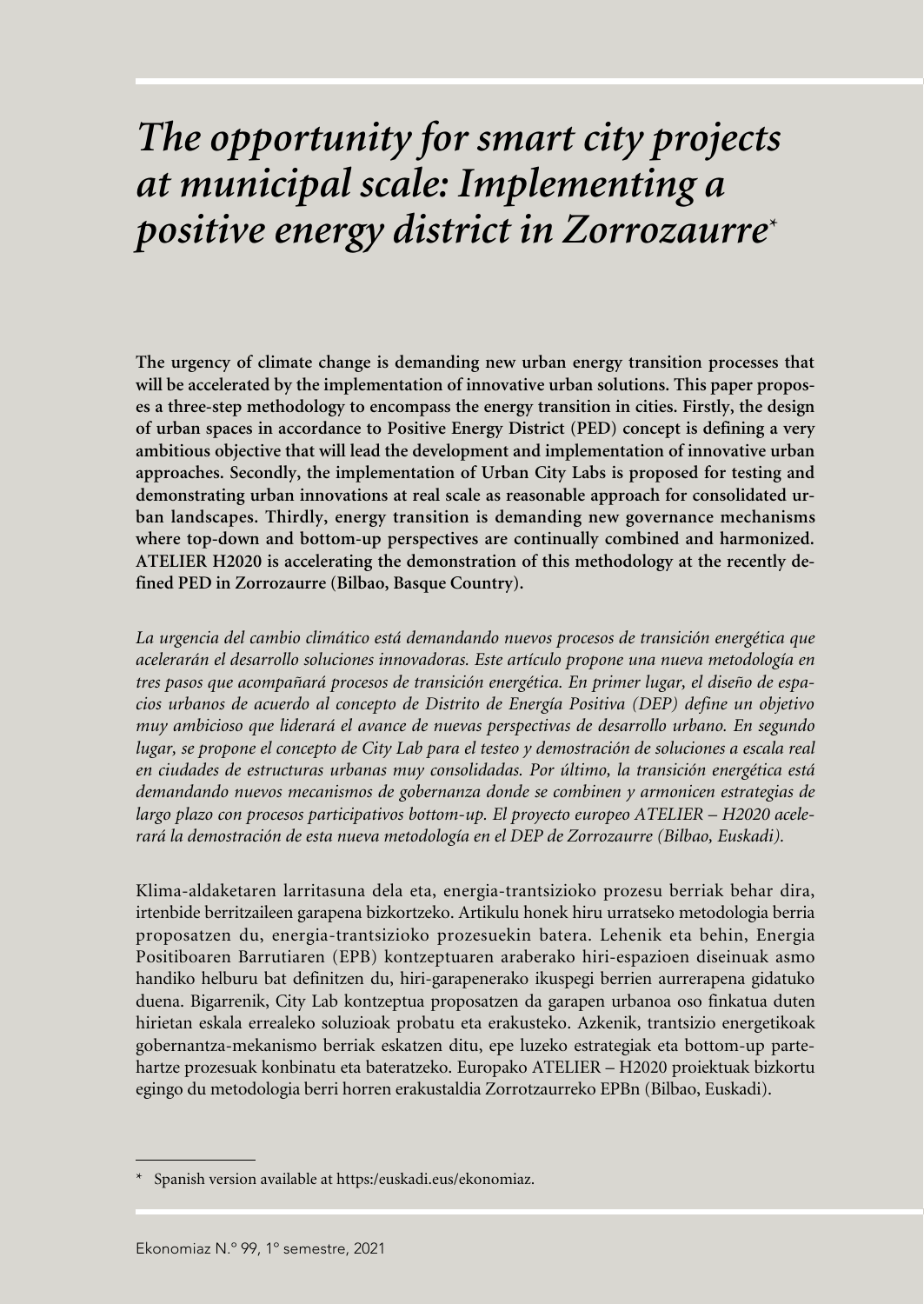# *The opportunity for smart city projects at municipal scale: Implementing a positive energy district in Zorrozaurre\**

**The urgency of climate change is demanding new urban energy transition processes that will be accelerated by the implementation of innovative urban solutions. This paper proposes a three-step methodology to encompass the energy transition in cities. Firstly, the design of urban spaces in accordance to Positive Energy District (PED) concept is defining a very ambitious objective that will lead the development and implementation of innovative urban approaches. Secondly, the implementation of Urban City Labs is proposed for testing and demonstrating urban innovations at real scale as reasonable approach for consolidated urban landscapes. Thirdly, energy transition is demanding new governance mechanisms where top-down and bottom-up perspectives are continually combined and harmonized. ATELIER H2020 is accelerating the demonstration of this methodology at the recently defined PED in Zorrozaurre (Bilbao, Basque Country).** 

*La urgencia del cambio climático está demandando nuevos procesos de transición energética que acelerarán el desarrollo soluciones innovadoras. Este artículo propone una nueva metodología en tres pasos que acompañará procesos de transición energética. En primer lugar, el diseño de espacios urbanos de acuerdo al concepto de Distrito de Energía Positiva (DEP) define un objetivo muy ambicioso que liderará el avance de nuevas perspectivas de desarrollo urbano. En segundo lugar, se propone el concepto de City Lab para el testeo y demostración de soluciones a escala real en ciudades de estructuras urbanas muy consolidadas. Por último, la transición energética está demandando nuevos mecanismos de gobernanza donde se combinen y armonicen estrategias de largo plazo con procesos participativos bottom-up. El proyecto europeo ATELIER – H2020 acelerará la demostración de esta nueva metodología en el DEP de Zorrozaurre (Bilbao, Euskadi).*

Klima-aldaketaren larritasuna dela eta, energia-trantsizioko prozesu berriak behar dira, irtenbide berritzaileen garapena bizkortzeko. Artikulu honek hiru urratseko metodologia berria proposatzen du, energia-trantsizioko prozesuekin batera. Lehenik eta behin, Energia Positiboaren Barrutiaren (EPB) kontzeptuaren araberako hiri-espazioen diseinuak asmo handiko helburu bat definitzen du, hiri-garapenerako ikuspegi berrien aurrerapena gidatuko duena. Bigarrenik, City Lab kontzeptua proposatzen da garapen urbanoa oso finkatua duten hirietan eskala errealeko soluzioak probatu eta erakusteko. Azkenik, trantsizio energetikoak gobernantza-mekanismo berriak eskatzen ditu, epe luzeko estrategiak eta bottom-up partehartze prozesuak konbinatu eta bateratzeko. Europako ATELIER – H2020 proiektuak bizkortu egingo du metodologia berri horren erakustaldia Zorrotzaurreko EPBn (Bilbao, Euskadi).

<sup>\*</sup> Spanish version available at https:/euskadi.eus/ekonomiaz.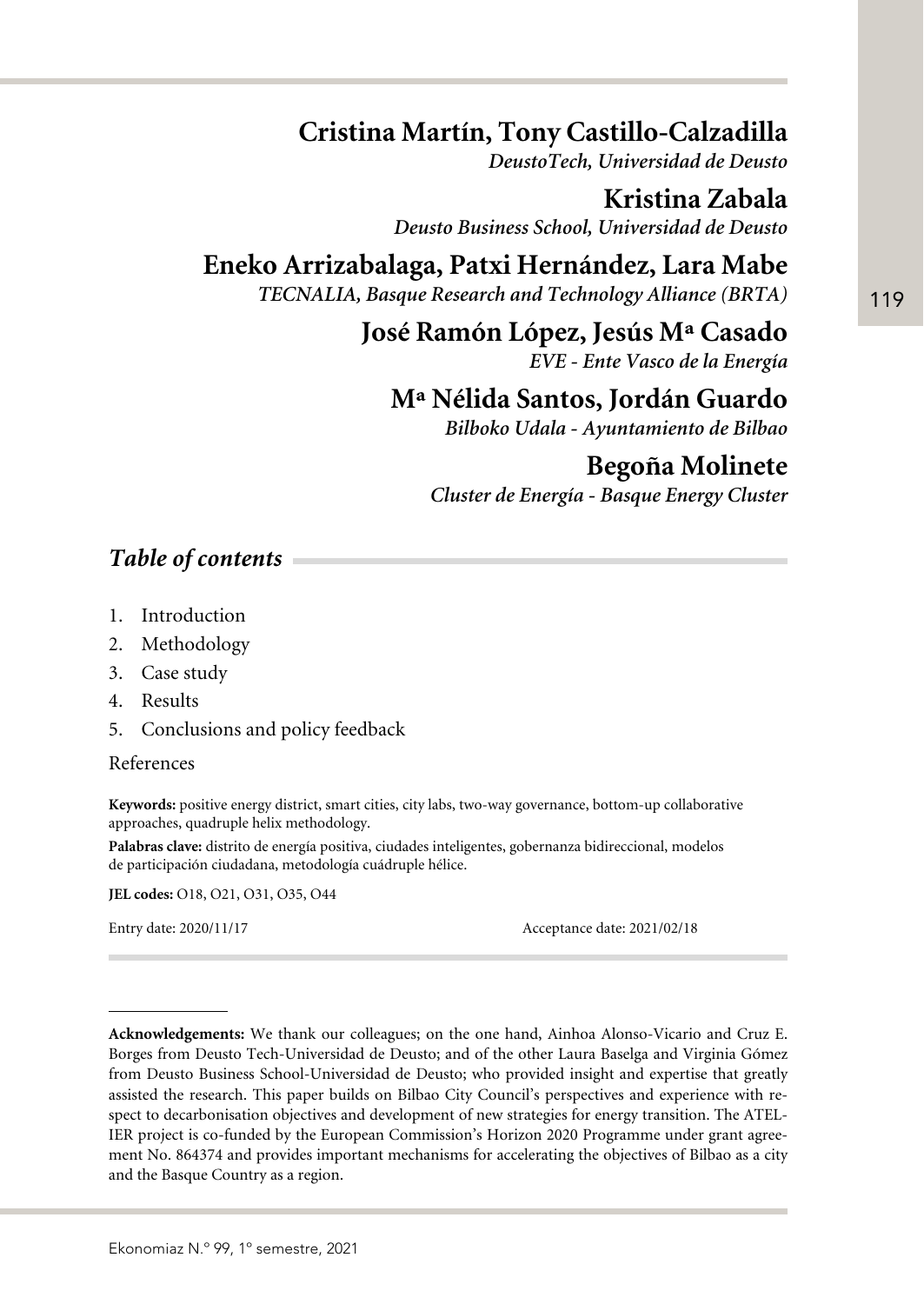# **Cristina Martín, Tony Castillo-Calzadilla**

*DeustoTech, Universidad de Deusto*

**Kristina Zabala** *Deusto Business School, Universidad de Deusto*

# **Eneko Arrizabalaga, Patxi Hernández, Lara Mabe**

*TECNALIA, Basque Research and Technology Alliance (BRTA)*

# **José Ramón López, Jesús Mª Casado**

*EVE - Ente Vasco de la Energía*

# **Mª Nélida Santos, Jordán Guardo**

*Bilboko Udala - Ayuntamiento de Bilbao*

# **Begoña Molinete**

*Cluster de Energía - Basque Energy Cluster*

# *Table of contents*

- 1. Introduction
- 2. Methodology
- 3. Case study
- 4. Results
- 5. Conclusions and policy feedback

### References

**Keywords:** positive energy district, smart cities, city labs, two-way governance, bottom-up collaborative approaches, quadruple helix methodology.

**Palabras clave:** distrito de energía positiva, ciudades inteligentes, gobernanza bidireccional, modelos de participación ciudadana, metodología cuádruple hélice.

**JEL codes:** O18, O21, O31, O35, O44

Entry date: 2020/11/17 Acceptance date: 2021/02/18

**Acknowledgements:** We thank our colleagues; on the one hand, Ainhoa Alonso-Vicario and Cruz E. Borges from Deusto Tech-Universidad de Deusto; and of the other Laura Baselga and Virginia Gómez from Deusto Business School-Universidad de Deusto; who provided insight and expertise that greatly assisted the research. This paper builds on Bilbao City Council's perspectives and experience with respect to decarbonisation objectives and development of new strategies for energy transition. The ATEL-IER project is co-funded by the European Commission's Horizon 2020 Programme under grant agreement No. 864374 and provides important mechanisms for accelerating the objectives of Bilbao as a city and the Basque Country as a region.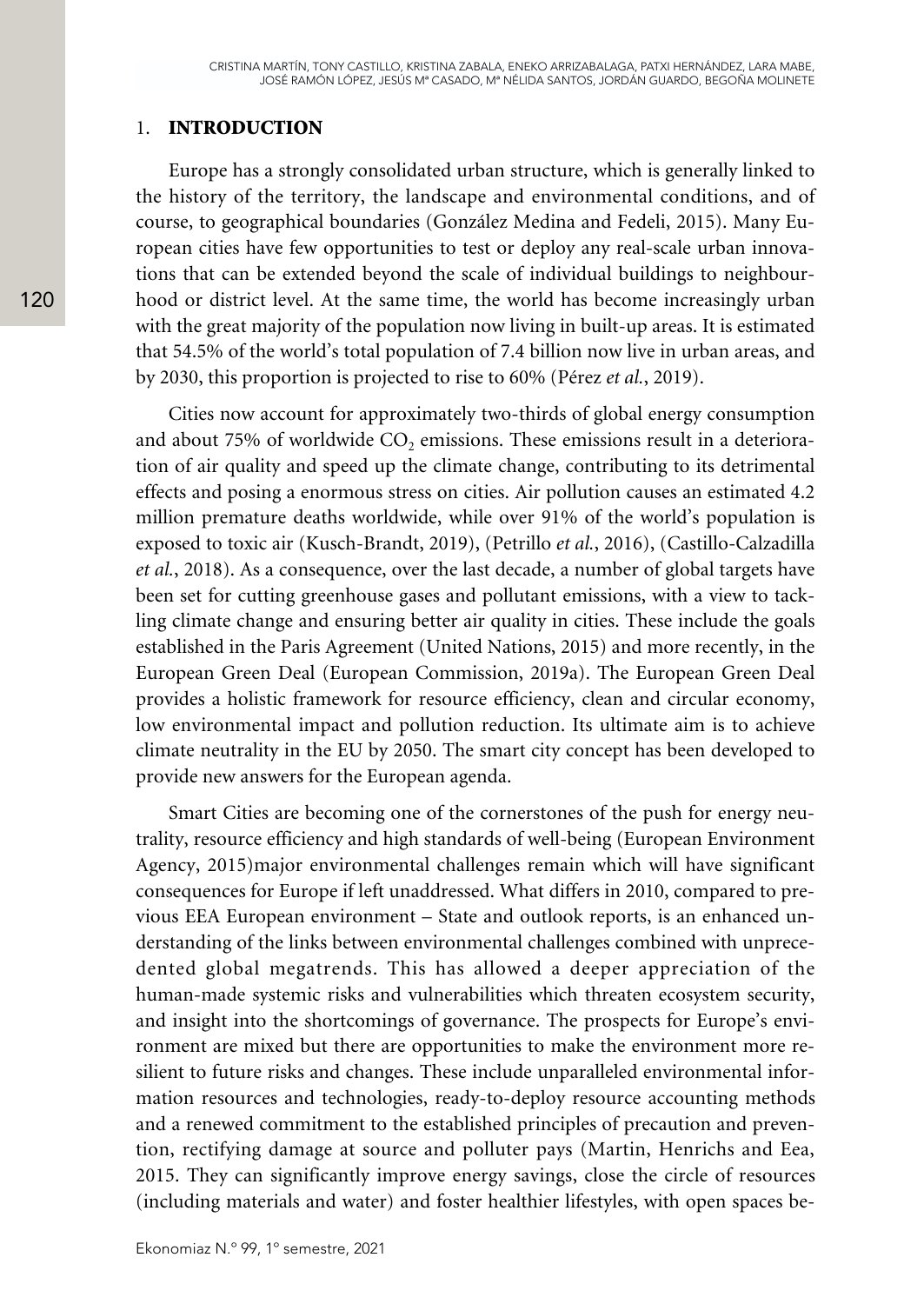#### 1. INTRODUCTION

Europe has a strongly consolidated urban structure, which is generally linked to the history of the territory, the landscape and environmental conditions, and of course, to geographical boundaries (González Medina and Fedeli, 2015). Many European cities have few opportunities to test or deploy any real-scale urban innovations that can be extended beyond the scale of individual buildings to neighbourhood or district level. At the same time, the world has become increasingly urban with the great majority of the population now living in built-up areas. It is estimated that 54.5% of the world's total population of 7.4 billion now live in urban areas, and by 2030, this proportion is projected to rise to 60% (Pérez *et al.*, 2019).

Cities now account for approximately two-thirds of global energy consumption and about 75% of worldwide  $\mathrm{CO}_2$  emissions. These emissions result in a deterioration of air quality and speed up the climate change, contributing to its detrimental effects and posing a enormous stress on cities. Air pollution causes an estimated 4.2 million premature deaths worldwide, while over 91% of the world's population is exposed to toxic air (Kusch-Brandt, 2019), (Petrillo *et al.*, 2016), (Castillo-Calzadilla *et al.*, 2018). As a consequence, over the last decade, a number of global targets have been set for cutting greenhouse gases and pollutant emissions, with a view to tackling climate change and ensuring better air quality in cities. These include the goals established in the Paris Agreement (United Nations, 2015) and more recently, in the European Green Deal (European Commission, 2019a). The European Green Deal provides a holistic framework for resource efficiency, clean and circular economy, low environmental impact and pollution reduction. Its ultimate aim is to achieve climate neutrality in the EU by 2050. The smart city concept has been developed to provide new answers for the European agenda.

Smart Cities are becoming one of the cornerstones of the push for energy neutrality, resource efficiency and high standards of well-being (European Environment Agency, 2015)major environmental challenges remain which will have significant consequences for Europe if left unaddressed. What differs in 2010, compared to previous EEA European environment – State and outlook reports, is an enhanced understanding of the links between environmental challenges combined with unprecedented global megatrends. This has allowed a deeper appreciation of the human-made systemic risks and vulnerabilities which threaten ecosystem security, and insight into the shortcomings of governance. The prospects for Europe's environment are mixed but there are opportunities to make the environment more resilient to future risks and changes. These include unparalleled environmental information resources and technologies, ready-to-deploy resource accounting methods and a renewed commitment to the established principles of precaution and prevention, rectifying damage at source and polluter pays (Martin, Henrichs and Eea, 2015. They can significantly improve energy savings, close the circle of resources (including materials and water) and foster healthier lifestyles, with open spaces be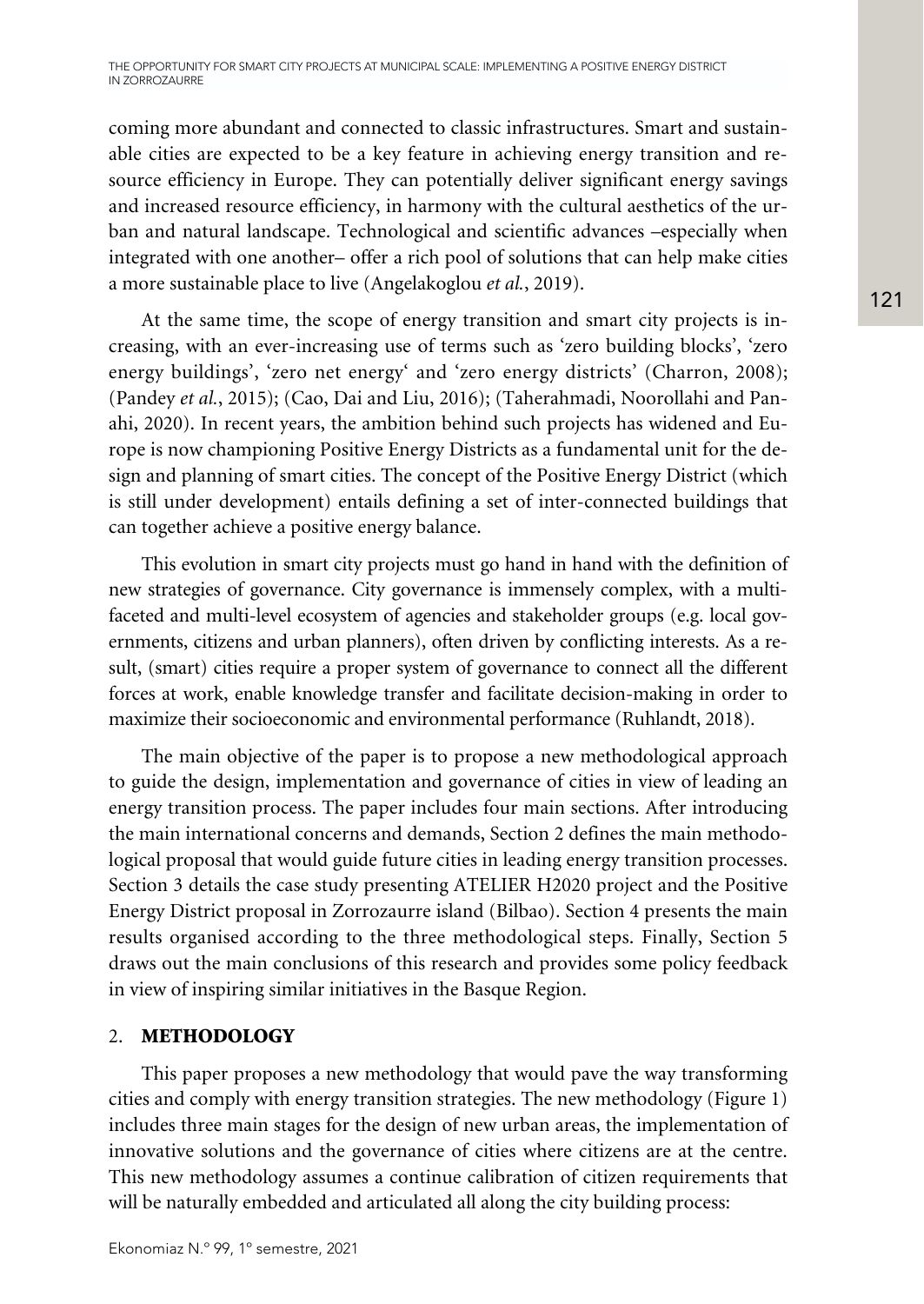coming more abundant and connected to classic infrastructures. Smart and sustainable cities are expected to be a key feature in achieving energy transition and resource efficiency in Europe. They can potentially deliver significant energy savings and increased resource efficiency, in harmony with the cultural aesthetics of the urban and natural landscape. Technological and scientific advances –especially when integrated with one another– offer a rich pool of solutions that can help make cities a more sustainable place to live (Angelakoglou *et al.*, 2019).

At the same time, the scope of energy transition and smart city projects is increasing, with an ever-increasing use of terms such as 'zero building blocks', 'zero energy buildings', 'zero net energy' and 'zero energy districts' (Charron, 2008); (Pandey *et al.*, 2015); (Cao, Dai and Liu, 2016); (Taherahmadi, Noorollahi and Panahi, 2020). In recent years, the ambition behind such projects has widened and Europe is now championing Positive Energy Districts as a fundamental unit for the design and planning of smart cities. The concept of the Positive Energy District (which is still under development) entails defining a set of inter-connected buildings that can together achieve a positive energy balance.

This evolution in smart city projects must go hand in hand with the definition of new strategies of governance. City governance is immensely complex, with a multifaceted and multi-level ecosystem of agencies and stakeholder groups (e.g. local governments, citizens and urban planners), often driven by conflicting interests. As a result, (smart) cities require a proper system of governance to connect all the different forces at work, enable knowledge transfer and facilitate decision-making in order to maximize their socioeconomic and environmental performance (Ruhlandt, 2018).

The main objective of the paper is to propose a new methodological approach to guide the design, implementation and governance of cities in view of leading an energy transition process. The paper includes four main sections. After introducing the main international concerns and demands, Section 2 defines the main methodological proposal that would guide future cities in leading energy transition processes. Section 3 details the case study presenting ATELIER H2020 project and the Positive Energy District proposal in Zorrozaurre island (Bilbao). Section 4 presents the main results organised according to the three methodological steps. Finally, Section 5 draws out the main conclusions of this research and provides some policy feedback in view of inspiring similar initiatives in the Basque Region.

#### 2. METHODOLOGY

This paper proposes a new methodology that would pave the way transforming cities and comply with energy transition strategies. The new methodology (Figure 1) includes three main stages for the design of new urban areas, the implementation of innovative solutions and the governance of cities where citizens are at the centre. This new methodology assumes a continue calibration of citizen requirements that will be naturally embedded and articulated all along the city building process: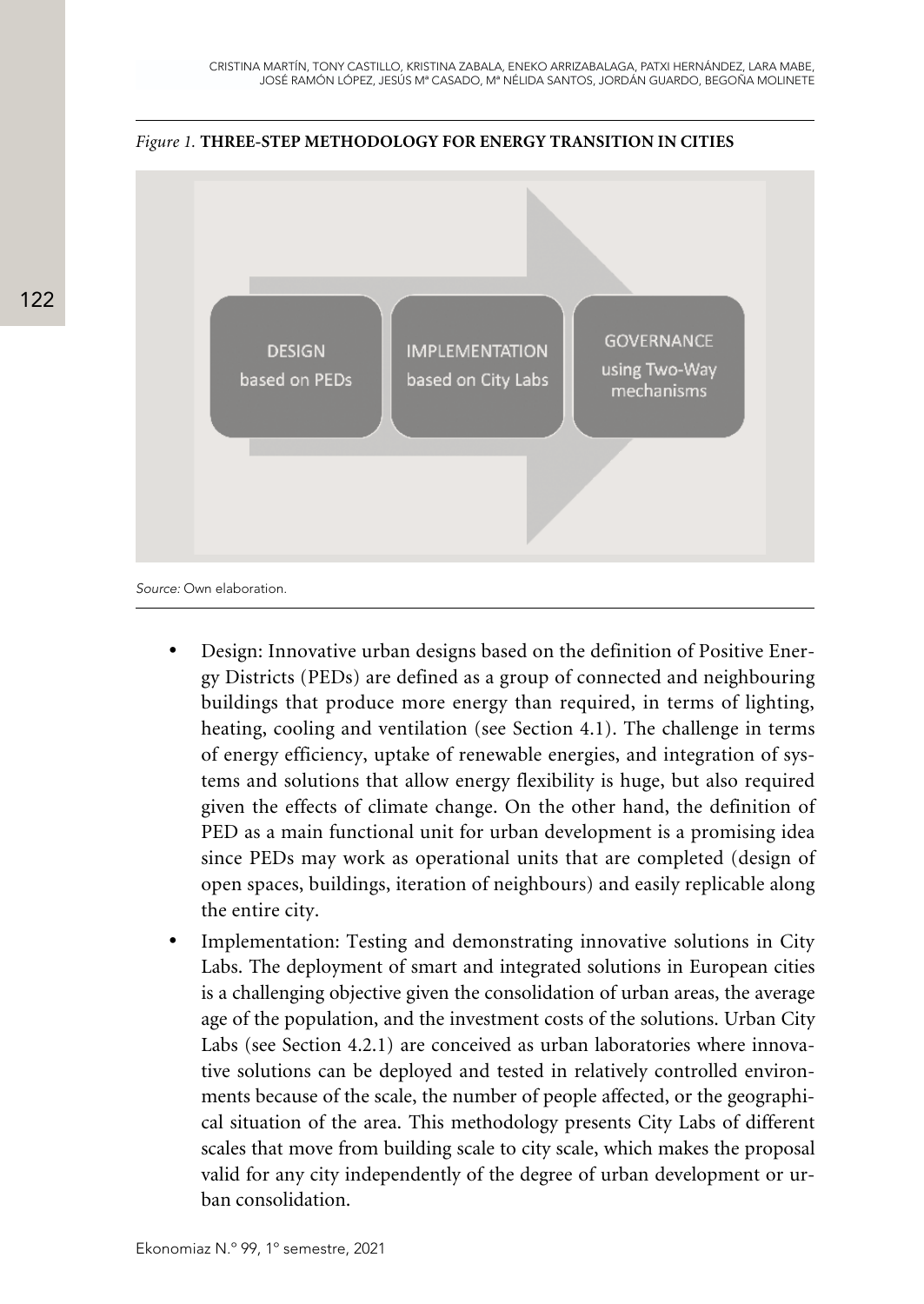

*Figure 1.* **THREE-STEP METHODOLOGY FOR ENERGY TRANSITION IN CITIES**

- Design: Innovative urban designs based on the definition of Positive Energy Districts (PEDs) are defined as a group of connected and neighbouring buildings that produce more energy than required, in terms of lighting, heating, cooling and ventilation (see Section 4.1). The challenge in terms of energy efficiency, uptake of renewable energies, and integration of systems and solutions that allow energy flexibility is huge, but also required given the effects of climate change. On the other hand, the definition of PED as a main functional unit for urban development is a promising idea since PEDs may work as operational units that are completed (design of open spaces, buildings, iteration of neighbours) and easily replicable along the entire city.
- Implementation: Testing and demonstrating innovative solutions in City Labs. The deployment of smart and integrated solutions in European cities is a challenging objective given the consolidation of urban areas, the average age of the population, and the investment costs of the solutions. Urban City Labs (see Section 4.2.1) are conceived as urban laboratories where innovative solutions can be deployed and tested in relatively controlled environments because of the scale, the number of people affected, or the geographical situation of the area. This methodology presents City Labs of different scales that move from building scale to city scale, which makes the proposal valid for any city independently of the degree of urban development or urban consolidation.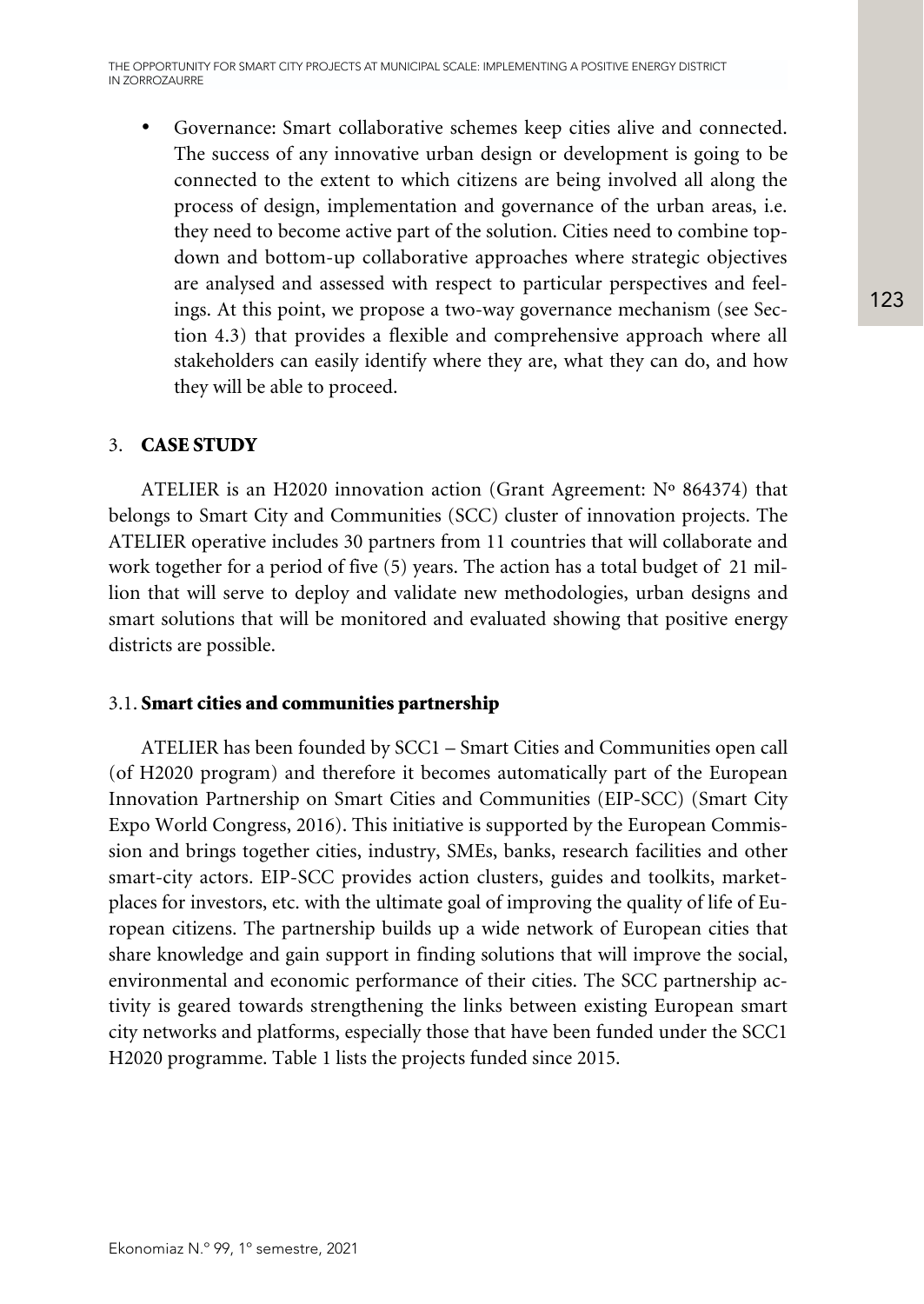• Governance: Smart collaborative schemes keep cities alive and connected. The success of any innovative urban design or development is going to be connected to the extent to which citizens are being involved all along the process of design, implementation and governance of the urban areas, i.e. they need to become active part of the solution. Cities need to combine topdown and bottom-up collaborative approaches where strategic objectives are analysed and assessed with respect to particular perspectives and feelings. At this point, we propose a two-way governance mechanism (see Section 4.3) that provides a flexible and comprehensive approach where all stakeholders can easily identify where they are, what they can do, and how they will be able to proceed.

#### 3. CASE STUDY

ATELIER is an H2020 innovation action (Grant Agreement: Nº 864374) that belongs to Smart City and Communities (SCC) cluster of innovation projects. The ATELIER operative includes 30 partners from 11 countries that will collaborate and work together for a period of five (5) years. The action has a total budget of 21 million that will serve to deploy and validate new methodologies, urban designs and smart solutions that will be monitored and evaluated showing that positive energy districts are possible.

#### 3.1. Smart cities and communities partnership

ATELIER has been founded by SCC1 – Smart Cities and Communities open call (of H2020 program) and therefore it becomes automatically part of the European Innovation Partnership on Smart Cities and Communities (EIP-SCC) (Smart City Expo World Congress, 2016). This initiative is supported by the European Commission and brings together cities, industry, SMEs, banks, research facilities and other smart-city actors. EIP-SCC provides action clusters, guides and toolkits, marketplaces for investors, etc. with the ultimate goal of improving the quality of life of European citizens. The partnership builds up a wide network of European cities that share knowledge and gain support in finding solutions that will improve the social, environmental and economic performance of their cities. The SCC partnership activity is geared towards strengthening the links between existing European smart city networks and platforms, especially those that have been funded under the SCC1 H2020 programme. Table 1 lists the projects funded since 2015.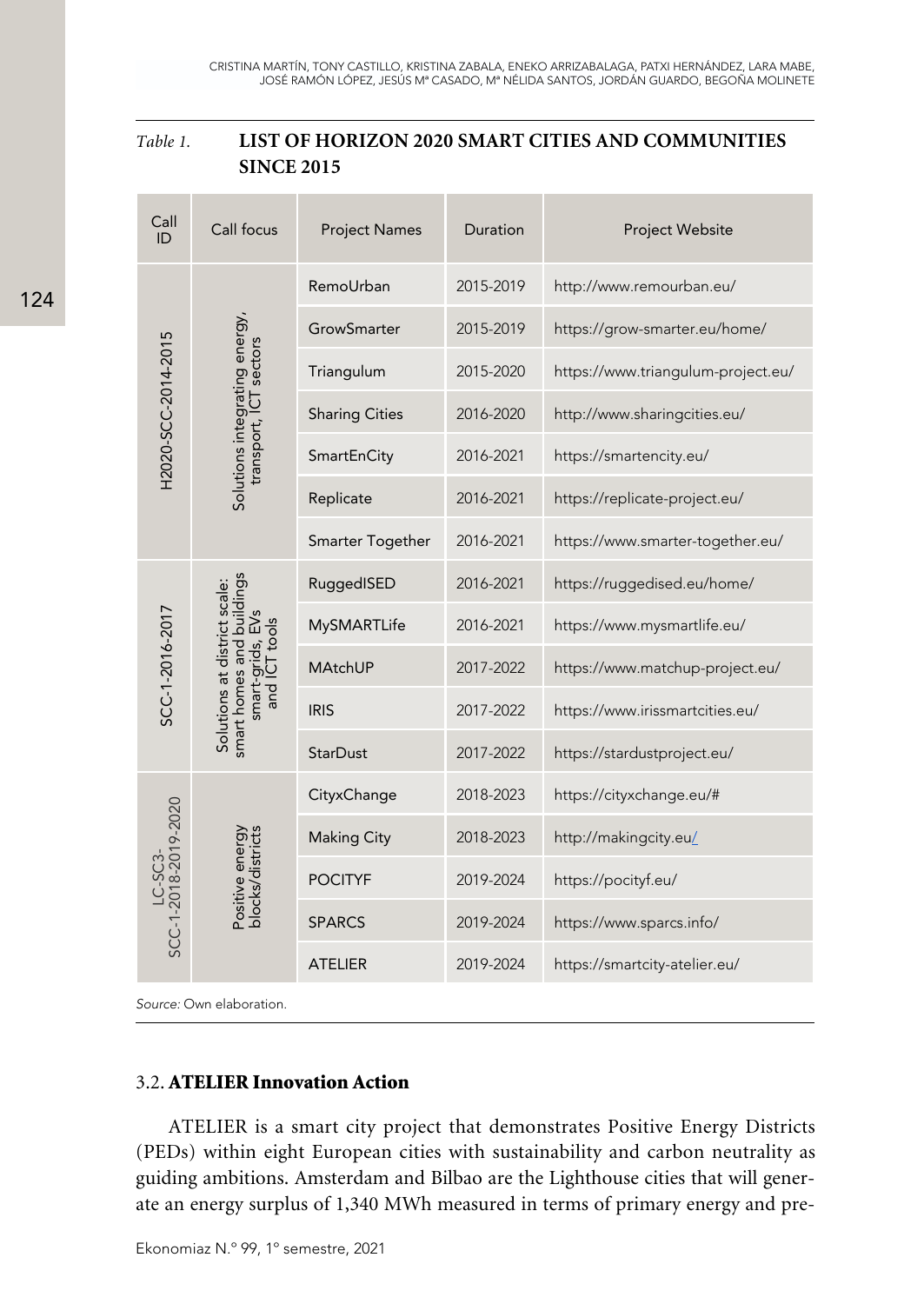# *Table 1.* **LIST OF HORIZON 2020 SMART CITIES AND COMMUNITIES SINCE 2015**

| Call<br>ID           | Call focus                                                                                     | <b>Project Names</b>  | Duration  | <b>Project Website</b>             |
|----------------------|------------------------------------------------------------------------------------------------|-----------------------|-----------|------------------------------------|
| H2020-SCC-2014-2015  | Solutions integrating energy,<br>transport, ICT sectors                                        | RemoUrban             | 2015-2019 | http://www.remourban.eu/           |
|                      |                                                                                                | GrowSmarter           | 2015-2019 | https://grow-smarter.eu/home/      |
|                      |                                                                                                | Triangulum            | 2015-2020 | https://www.triangulum-project.eu/ |
|                      |                                                                                                | <b>Sharing Cities</b> | 2016-2020 | http://www.sharingcities.eu/       |
|                      |                                                                                                | SmartEnCity           | 2016-2021 | https://smartencity.eu/            |
|                      |                                                                                                | Replicate             | 2016-2021 | https://replicate-project.eu/      |
|                      |                                                                                                | Smarter Together      | 2016-2021 | https://www.smarter-together.eu/   |
| SCC-1-2016-2017      | smart homes and buildings<br>Solutions at district scale:<br>오<br>rids,<br>smart-g<br>$1$ lona | RuggedISED            | 2016-2021 | https://ruggedised.eu/home/        |
|                      |                                                                                                | MySMARTLife           | 2016-2021 | https://www.mysmartlife.eu/        |
|                      |                                                                                                | <b>MAtchUP</b>        | 2017-2022 | https://www.matchup-project.eu/    |
|                      |                                                                                                | <b>IRIS</b>           | 2017-2022 | https://www.irissmartcities.eu/    |
|                      |                                                                                                | <b>StarDust</b>       | 2017-2022 | https://stardustproject.eu/        |
| SCC-1-2018-2019-2020 | blocks/districts<br>Positive energy                                                            | CityxChange           | 2018-2023 | https://cityxchange.eu/#           |
|                      |                                                                                                | <b>Making City</b>    | 2018-2023 | http://makingcity.eu/              |
|                      |                                                                                                | <b>POCITYF</b>        | 2019-2024 | https://pocityf.eu/                |
|                      |                                                                                                | <b>SPARCS</b>         | 2019-2024 | https://www.sparcs.info/           |
|                      |                                                                                                | ATELIER               | 2019-2024 | https://smartcity-atelier.eu/      |

Source: Own elaboration.

#### 3.2. ATELIER Innovation Action

ATELIER is a smart city project that demonstrates Positive Energy Districts (PEDs) within eight European cities with sustainability and carbon neutrality as guiding ambitions. Amsterdam and Bilbao are the Lighthouse cities that will generate an energy surplus of 1,340 MWh measured in terms of primary energy and pre-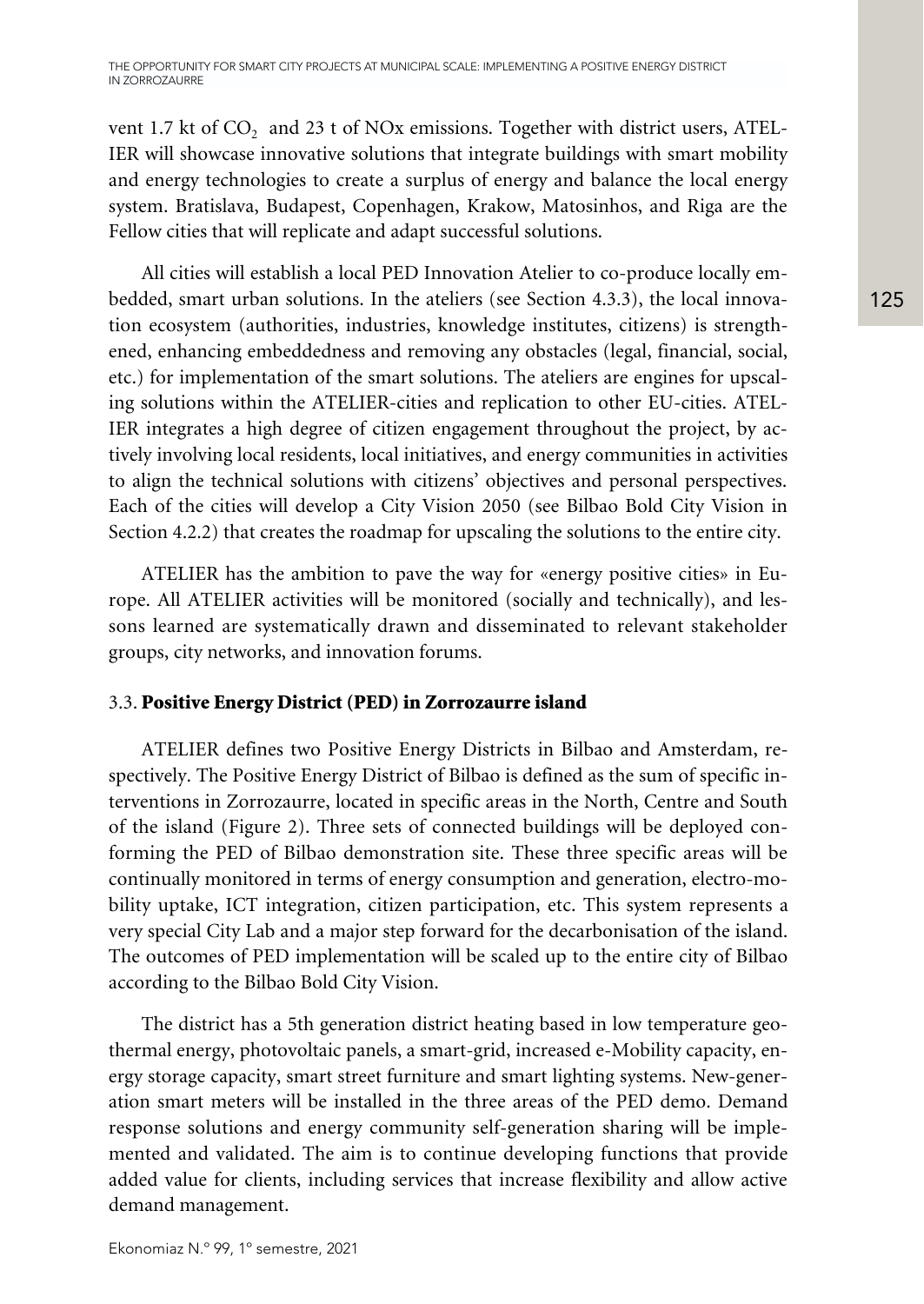vent 1.7 kt of  $\text{CO}_2\;$  and 23 t of NOx emissions. Together with district users, ATEL-IER will showcase innovative solutions that integrate buildings with smart mobility and energy technologies to create a surplus of energy and balance the local energy system. Bratislava, Budapest, Copenhagen, Krakow, Matosinhos, and Riga are the Fellow cities that will replicate and adapt successful solutions.

All cities will establish a local PED Innovation Atelier to co-produce locally embedded, smart urban solutions. In the ateliers (see Section 4.3.3), the local innovation ecosystem (authorities, industries, knowledge institutes, citizens) is strengthened, enhancing embeddedness and removing any obstacles (legal, financial, social, etc.) for implementation of the smart solutions. The ateliers are engines for upscaling solutions within the ATELIER-cities and replication to other EU-cities. ATEL-IER integrates a high degree of citizen engagement throughout the project, by actively involving local residents, local initiatives, and energy communities in activities to align the technical solutions with citizens' objectives and personal perspectives. Each of the cities will develop a City Vision 2050 (see Bilbao Bold City Vision in Section 4.2.2) that creates the roadmap for upscaling the solutions to the entire city.

ATELIER has the ambition to pave the way for «energy positive cities» in Europe. All ATELIER activities will be monitored (socially and technically), and lessons learned are systematically drawn and disseminated to relevant stakeholder groups, city networks, and innovation forums.

# 3.3. Positive Energy District (PED) in Zorrozaurre island

ATELIER defines two Positive Energy Districts in Bilbao and Amsterdam, respectively. The Positive Energy District of Bilbao is defined as the sum of specific interventions in Zorrozaurre, located in specific areas in the North, Centre and South of the island (Figure 2). Three sets of connected buildings will be deployed conforming the PED of Bilbao demonstration site. These three specific areas will be continually monitored in terms of energy consumption and generation, electro-mobility uptake, ICT integration, citizen participation, etc. This system represents a very special City Lab and a major step forward for the decarbonisation of the island. The outcomes of PED implementation will be scaled up to the entire city of Bilbao according to the Bilbao Bold City Vision.

The district has a 5th generation district heating based in low temperature geothermal energy, photovoltaic panels, a smart-grid, increased e-Mobility capacity, energy storage capacity, smart street furniture and smart lighting systems. New-generation smart meters will be installed in the three areas of the PED demo. Demand response solutions and energy community self-generation sharing will be implemented and validated. The aim is to continue developing functions that provide added value for clients, including services that increase flexibility and allow active demand management.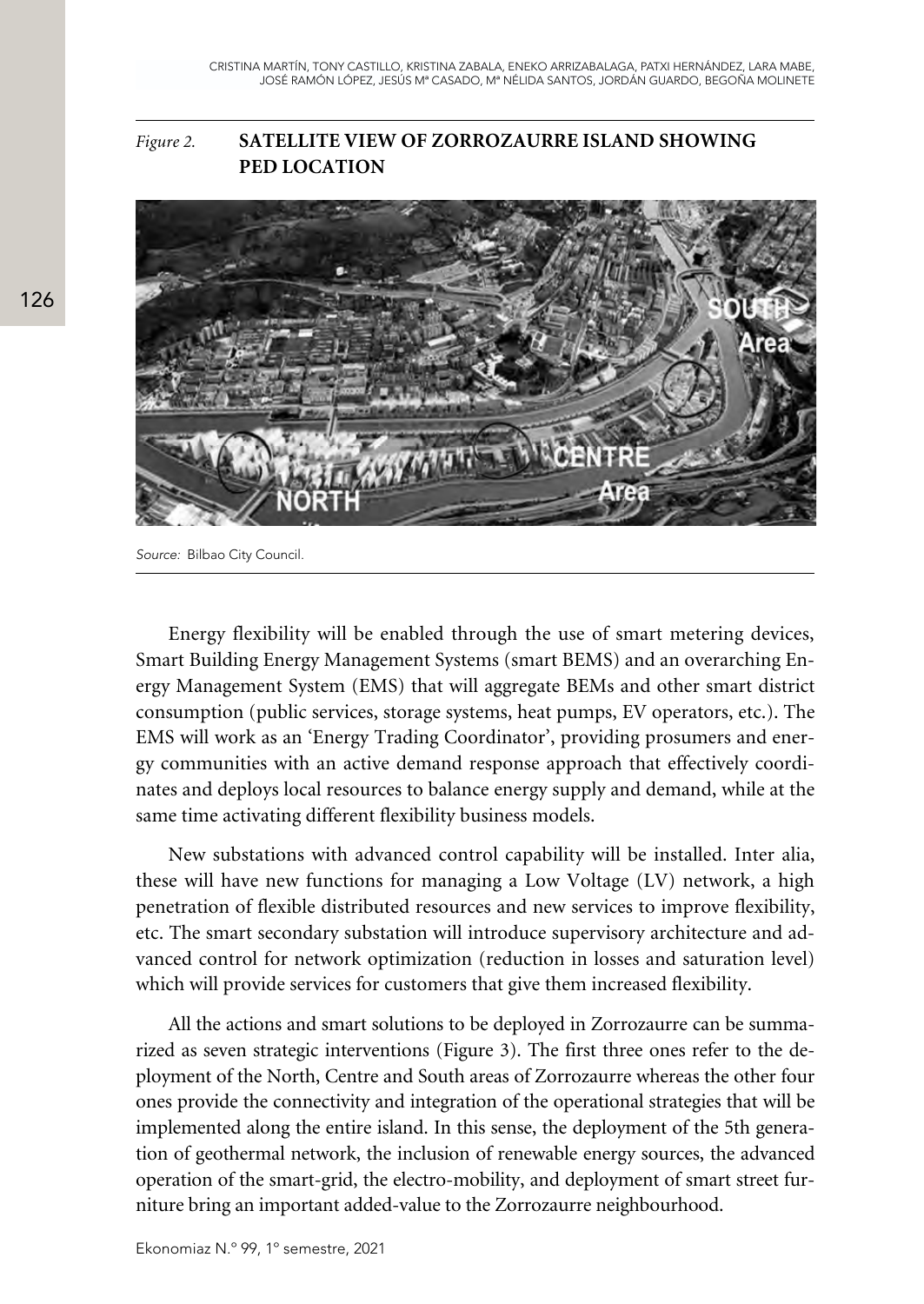# *Figure 2.* **SATELLITE VIEW OF ZORROZAURRE ISLAND SHOWING PED LOCATION**



Source: Bilbao City Council.

Energy flexibility will be enabled through the use of smart metering devices, Smart Building Energy Management Systems (smart BEMS) and an overarching Energy Management System (EMS) that will aggregate BEMs and other smart district consumption (public services, storage systems, heat pumps, EV operators, etc.). The EMS will work as an 'Energy Trading Coordinator', providing prosumers and energy communities with an active demand response approach that effectively coordinates and deploys local resources to balance energy supply and demand, while at the same time activating different flexibility business models.

New substations with advanced control capability will be installed. Inter alia, these will have new functions for managing a Low Voltage (LV) network, a high penetration of flexible distributed resources and new services to improve flexibility, etc. The smart secondary substation will introduce supervisory architecture and advanced control for network optimization (reduction in losses and saturation level) which will provide services for customers that give them increased flexibility.

All the actions and smart solutions to be deployed in Zorrozaurre can be summarized as seven strategic interventions (Figure 3). The first three ones refer to the deployment of the North, Centre and South areas of Zorrozaurre whereas the other four ones provide the connectivity and integration of the operational strategies that will be implemented along the entire island. In this sense, the deployment of the 5th generation of geothermal network, the inclusion of renewable energy sources, the advanced operation of the smart-grid, the electro-mobility, and deployment of smart street furniture bring an important added-value to the Zorrozaurre neighbourhood.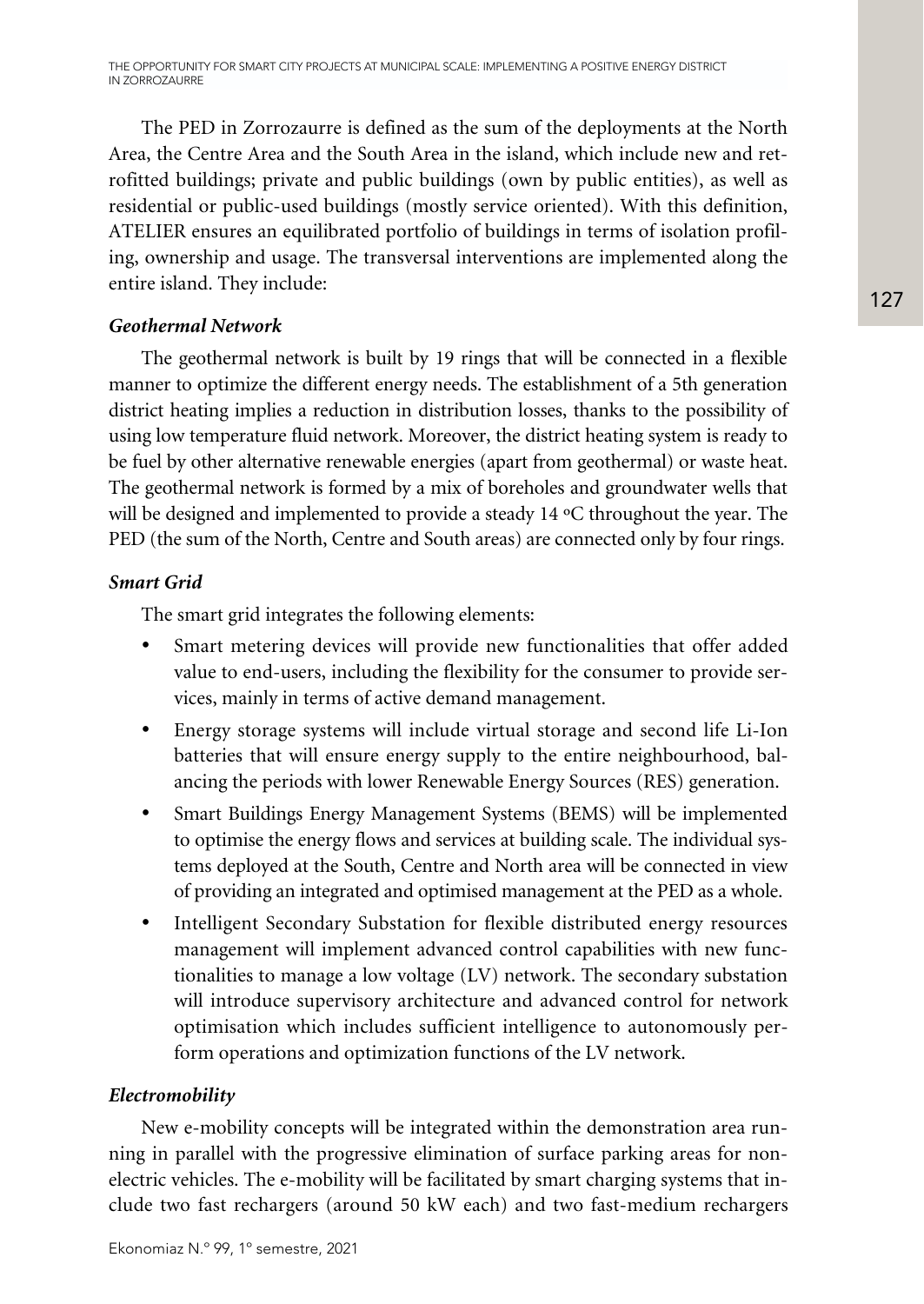The PED in Zorrozaurre is defined as the sum of the deployments at the North Area, the Centre Area and the South Area in the island, which include new and retrofitted buildings; private and public buildings (own by public entities), as well as residential or public-used buildings (mostly service oriented). With this definition, ATELIER ensures an equilibrated portfolio of buildings in terms of isolation profiling, ownership and usage. The transversal interventions are implemented along the entire island. They include:

#### *Geothermal Network*

The geothermal network is built by 19 rings that will be connected in a flexible manner to optimize the different energy needs. The establishment of a 5th generation district heating implies a reduction in distribution losses, thanks to the possibility of using low temperature fluid network. Moreover, the district heating system is ready to be fuel by other alternative renewable energies (apart from geothermal) or waste heat. The geothermal network is formed by a mix of boreholes and groundwater wells that will be designed and implemented to provide a steady 14 ºC throughout the year. The PED (the sum of the North, Centre and South areas) are connected only by four rings.

# *Smart Grid*

The smart grid integrates the following elements:

- Smart metering devices will provide new functionalities that offer added value to end-users, including the flexibility for the consumer to provide services, mainly in terms of active demand management.
- Energy storage systems will include virtual storage and second life Li-Ion batteries that will ensure energy supply to the entire neighbourhood, balancing the periods with lower Renewable Energy Sources (RES) generation.
- Smart Buildings Energy Management Systems (BEMS) will be implemented to optimise the energy flows and services at building scale. The individual systems deployed at the South, Centre and North area will be connected in view of providing an integrated and optimised management at the PED as a whole.
- Intelligent Secondary Substation for flexible distributed energy resources management will implement advanced control capabilities with new functionalities to manage a low voltage (LV) network. The secondary substation will introduce supervisory architecture and advanced control for network optimisation which includes sufficient intelligence to autonomously perform operations and optimization functions of the LV network.

# *Electromobility*

New e-mobility concepts will be integrated within the demonstration area running in parallel with the progressive elimination of surface parking areas for nonelectric vehicles. The e-mobility will be facilitated by smart charging systems that include two fast rechargers (around 50 kW each) and two fast-medium rechargers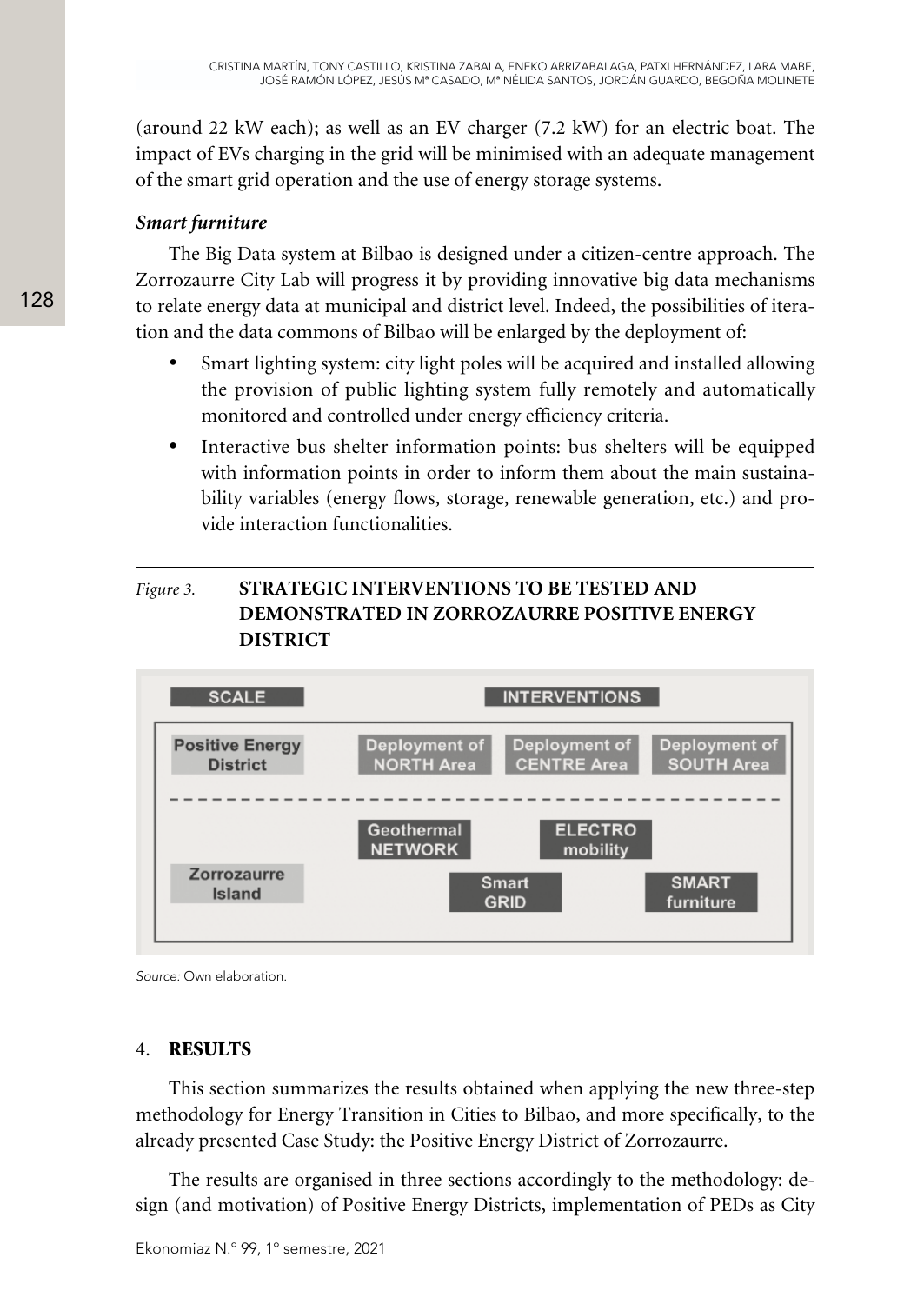(around 22 kW each); as well as an EV charger (7.2 kW) for an electric boat. The impact of EVs charging in the grid will be minimised with an adequate management of the smart grid operation and the use of energy storage systems.

# *Smart furniture*

The Big Data system at Bilbao is designed under a citizen-centre approach. The Zorrozaurre City Lab will progress it by providing innovative big data mechanisms to relate energy data at municipal and district level. Indeed, the possibilities of iteration and the data commons of Bilbao will be enlarged by the deployment of:

- Smart lighting system: city light poles will be acquired and installed allowing the provision of public lighting system fully remotely and automatically monitored and controlled under energy efficiency criteria.
- Interactive bus shelter information points: bus shelters will be equipped with information points in order to inform them about the main sustainability variables (energy flows, storage, renewable generation, etc.) and provide interaction functionalities.

# *Figure 3.* **STRATEGIC INTERVENTIONS TO BE TESTED AND DEMONSTRATED IN ZORROZAURRE POSITIVE ENERGY DISTRICT**



Source: Own elaboration.

# 4. RESULTS

This section summarizes the results obtained when applying the new three-step methodology for Energy Transition in Cities to Bilbao, and more specifically, to the already presented Case Study: the Positive Energy District of Zorrozaurre.

The results are organised in three sections accordingly to the methodology: design (and motivation) of Positive Energy Districts, implementation of PEDs as City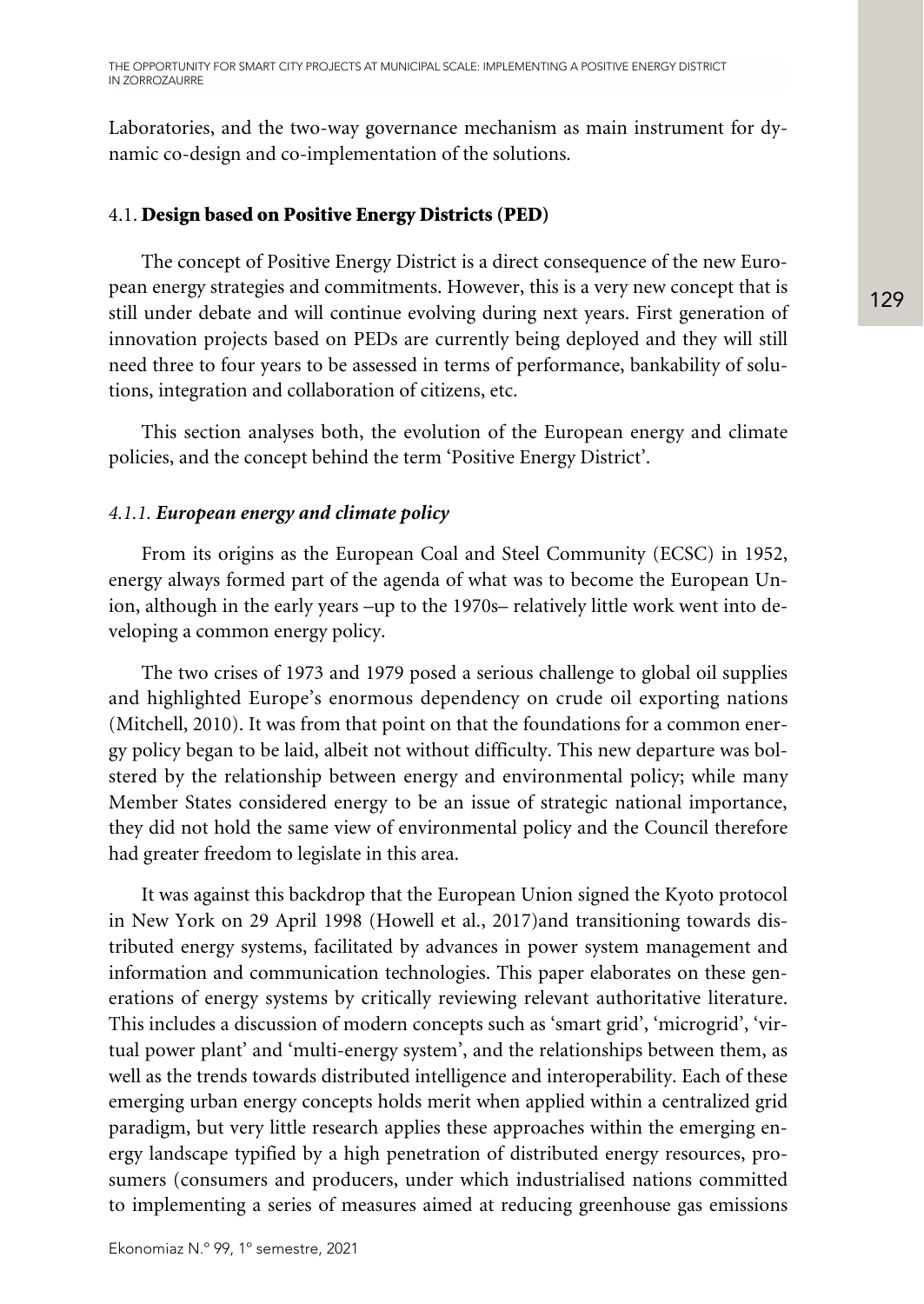Laboratories, and the two-way governance mechanism as main instrument for dynamic co-design and co-implementation of the solutions.

#### 4.1. Design based on Positive Energy Districts (PED)

The concept of Positive Energy District is a direct consequence of the new European energy strategies and commitments. However, this is a very new concept that is still under debate and will continue evolving during next years. First generation of innovation projects based on PEDs are currently being deployed and they will still need three to four years to be assessed in terms of performance, bankability of solutions, integration and collaboration of citizens, etc.

This section analyses both, the evolution of the European energy and climate policies, and the concept behind the term 'Positive Energy District'.

#### *4.1.1. European energy and climate policy*

From its origins as the European Coal and Steel Community (ECSC) in 1952, energy always formed part of the agenda of what was to become the European Union, although in the early years –up to the 1970s– relatively little work went into developing a common energy policy.

The two crises of 1973 and 1979 posed a serious challenge to global oil supplies and highlighted Europe's enormous dependency on crude oil exporting nations (Mitchell, 2010). It was from that point on that the foundations for a common energy policy began to be laid, albeit not without difficulty. This new departure was bolstered by the relationship between energy and environmental policy; while many Member States considered energy to be an issue of strategic national importance, they did not hold the same view of environmental policy and the Council therefore had greater freedom to legislate in this area.

It was against this backdrop that the European Union signed the Kyoto protocol in New York on 29 April 1998 (Howell et al., 2017)and transitioning towards distributed energy systems, facilitated by advances in power system management and information and communication technologies. This paper elaborates on these generations of energy systems by critically reviewing relevant authoritative literature. This includes a discussion of modern concepts such as 'smart grid', 'microgrid', 'virtual power plant' and 'multi-energy system', and the relationships between them, as well as the trends towards distributed intelligence and interoperability. Each of these emerging urban energy concepts holds merit when applied within a centralized grid paradigm, but very little research applies these approaches within the emerging energy landscape typified by a high penetration of distributed energy resources, prosumers (consumers and producers, under which industrialised nations committed to implementing a series of measures aimed at reducing greenhouse gas emissions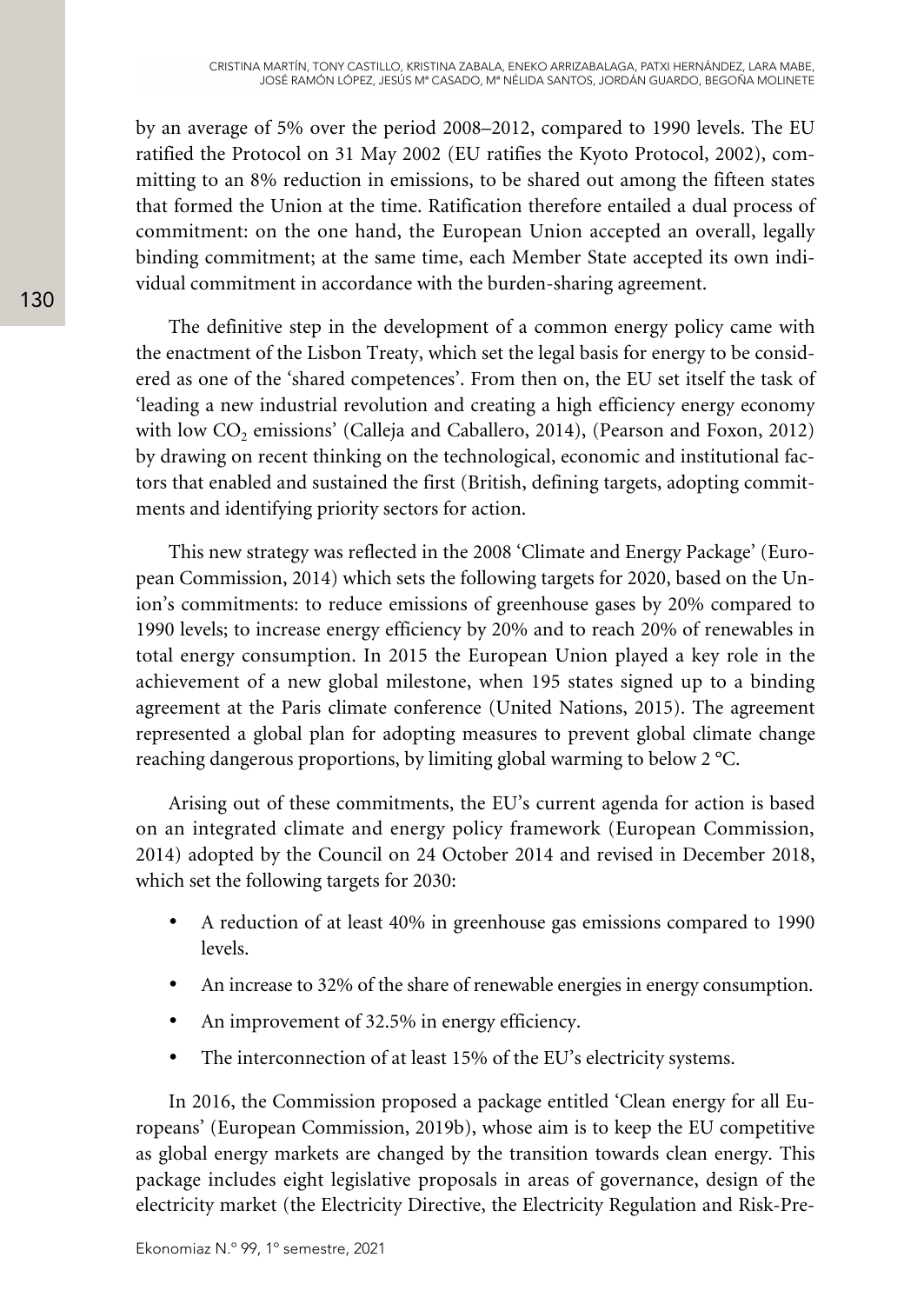by an average of 5% over the period 2008–2012, compared to 1990 levels. The EU ratified the Protocol on 31 May 2002 (EU ratifies the Kyoto Protocol, 2002), committing to an 8% reduction in emissions, to be shared out among the fifteen states that formed the Union at the time. Ratification therefore entailed a dual process of commitment: on the one hand, the European Union accepted an overall, legally binding commitment; at the same time, each Member State accepted its own individual commitment in accordance with the burden-sharing agreement.

The definitive step in the development of a common energy policy came with the enactment of the Lisbon Treaty, which set the legal basis for energy to be considered as one of the 'shared competences'. From then on, the EU set itself the task of 'leading a new industrial revolution and creating a high efficiency energy economy with low  $CO_2$  emissions' (Calleja and Caballero, 2014), (Pearson and Foxon, 2012) by drawing on recent thinking on the technological, economic and institutional factors that enabled and sustained the first (British, defining targets, adopting commitments and identifying priority sectors for action.

This new strategy was reflected in the 2008 'Climate and Energy Package' (European Commission, 2014) which sets the following targets for 2020, based on the Union's commitments: to reduce emissions of greenhouse gases by 20% compared to 1990 levels; to increase energy efficiency by 20% and to reach 20% of renewables in total energy consumption. In 2015 the European Union played a key role in the achievement of a new global milestone, when 195 states signed up to a binding agreement at the Paris climate conference (United Nations, 2015). The agreement represented a global plan for adopting measures to prevent global climate change reaching dangerous proportions, by limiting global warming to below 2 °C.

Arising out of these commitments, the EU's current agenda for action is based on an integrated climate and energy policy framework (European Commission, 2014) adopted by the Council on 24 October 2014 and revised in December 2018, which set the following targets for 2030:

- A reduction of at least 40% in greenhouse gas emissions compared to 1990 levels.
- An increase to 32% of the share of renewable energies in energy consumption.
- An improvement of 32.5% in energy efficiency.
- The interconnection of at least 15% of the EU's electricity systems.

In 2016, the Commission proposed a package entitled 'Clean energy for all Europeans' (European Commission, 2019b), whose aim is to keep the EU competitive as global energy markets are changed by the transition towards clean energy. This package includes eight legislative proposals in areas of governance, design of the electricity market (the Electricity Directive, the Electricity Regulation and Risk-Pre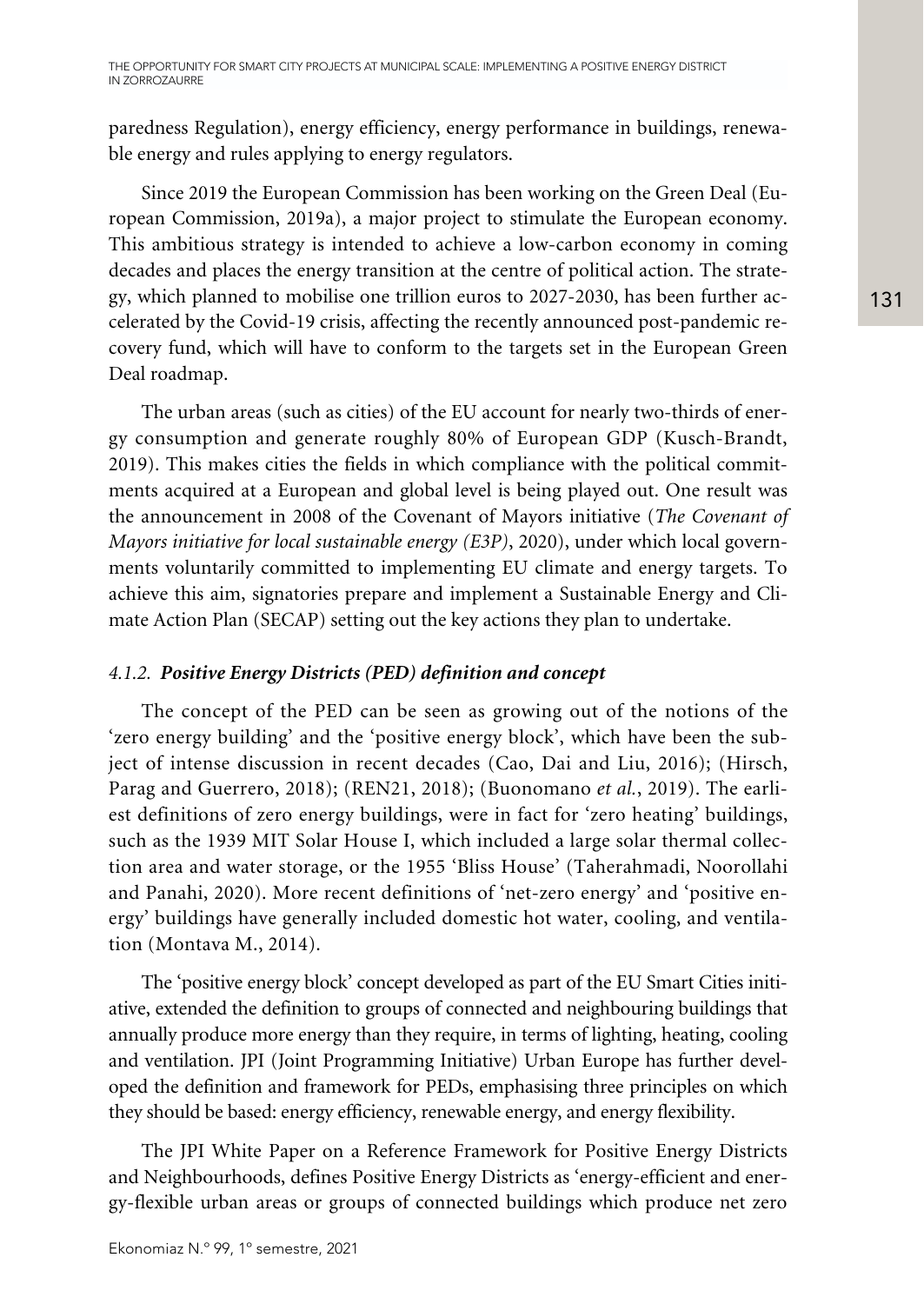paredness Regulation), energy efficiency, energy performance in buildings, renewable energy and rules applying to energy regulators.

Since 2019 the European Commission has been working on the Green Deal (European Commission, 2019a), a major project to stimulate the European economy. This ambitious strategy is intended to achieve a low-carbon economy in coming decades and places the energy transition at the centre of political action. The strategy, which planned to mobilise one trillion euros to 2027-2030, has been further accelerated by the Covid-19 crisis, affecting the recently announced post-pandemic recovery fund, which will have to conform to the targets set in the European Green Deal roadmap.

The urban areas (such as cities) of the EU account for nearly two-thirds of energy consumption and generate roughly 80% of European GDP (Kusch-Brandt, 2019). This makes cities the fields in which compliance with the political commitments acquired at a European and global level is being played out. One result was the announcement in 2008 of the Covenant of Mayors initiative (*The Covenant of Mayors initiative for local sustainable energy (E3P)*, 2020), under which local governments voluntarily committed to implementing EU climate and energy targets. To achieve this aim, signatories prepare and implement a Sustainable Energy and Climate Action Plan (SECAP) setting out the key actions they plan to undertake.

# *4.1.2. Positive Energy Districts (PED) definition and concept*

The concept of the PED can be seen as growing out of the notions of the 'zero energy building' and the 'positive energy block', which have been the subject of intense discussion in recent decades (Cao, Dai and Liu, 2016); (Hirsch, Parag and Guerrero, 2018); (REN21, 2018); (Buonomano *et al.*, 2019). The earliest definitions of zero energy buildings, were in fact for 'zero heating' buildings, such as the 1939 MIT Solar House I, which included a large solar thermal collection area and water storage, or the 1955 'Bliss House' (Taherahmadi, Noorollahi and Panahi, 2020). More recent definitions of 'net-zero energy' and 'positive energy' buildings have generally included domestic hot water, cooling, and ventilation (Montava M., 2014).

The 'positive energy block' concept developed as part of the EU Smart Cities initiative, extended the definition to groups of connected and neighbouring buildings that annually produce more energy than they require, in terms of lighting, heating, cooling and ventilation. JPI (Joint Programming Initiative) Urban Europe has further developed the definition and framework for PEDs, emphasising three principles on which they should be based: energy efficiency, renewable energy, and energy flexibility.

The JPI White Paper on a Reference Framework for Positive Energy Districts and Neighbourhoods, defines Positive Energy Districts as 'energy-efficient and energy-flexible urban areas or groups of connected buildings which produce net zero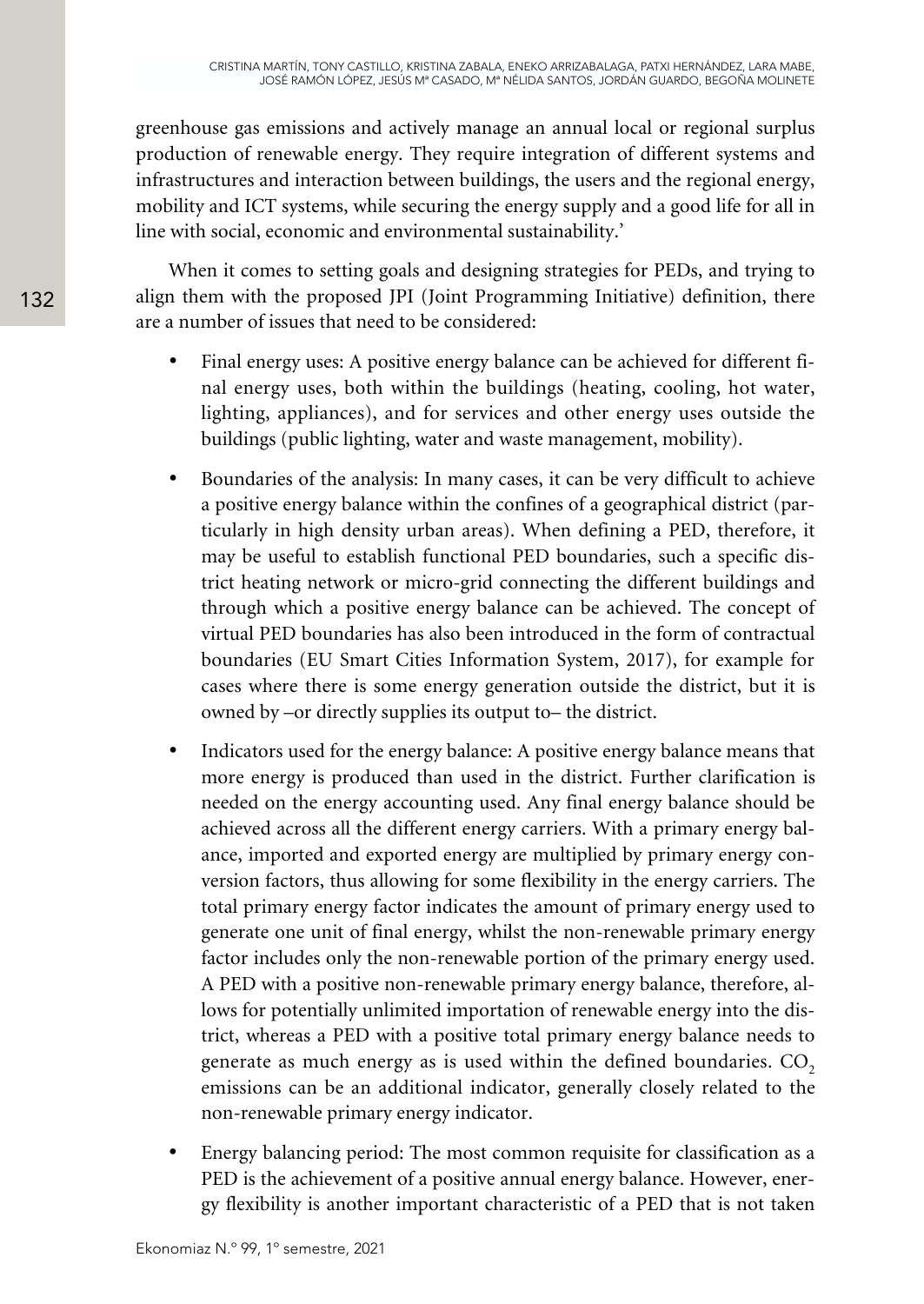greenhouse gas emissions and actively manage an annual local or regional surplus production of renewable energy. They require integration of different systems and infrastructures and interaction between buildings, the users and the regional energy, mobility and ICT systems, while securing the energy supply and a good life for all in line with social, economic and environmental sustainability.'

When it comes to setting goals and designing strategies for PEDs, and trying to align them with the proposed JPI (Joint Programming Initiative) definition, there are a number of issues that need to be considered:

- Final energy uses: A positive energy balance can be achieved for different final energy uses, both within the buildings (heating, cooling, hot water, lighting, appliances), and for services and other energy uses outside the buildings (public lighting, water and waste management, mobility).
- Boundaries of the analysis: In many cases, it can be very difficult to achieve a positive energy balance within the confines of a geographical district (particularly in high density urban areas). When defining a PED, therefore, it may be useful to establish functional PED boundaries, such a specific district heating network or micro-grid connecting the different buildings and through which a positive energy balance can be achieved. The concept of virtual PED boundaries has also been introduced in the form of contractual boundaries (EU Smart Cities Information System, 2017), for example for cases where there is some energy generation outside the district, but it is owned by –or directly supplies its output to– the district.
- Indicators used for the energy balance: A positive energy balance means that more energy is produced than used in the district. Further clarification is needed on the energy accounting used. Any final energy balance should be achieved across all the different energy carriers. With a primary energy balance, imported and exported energy are multiplied by primary energy conversion factors, thus allowing for some flexibility in the energy carriers. The total primary energy factor indicates the amount of primary energy used to generate one unit of final energy, whilst the non-renewable primary energy factor includes only the non-renewable portion of the primary energy used. A PED with a positive non-renewable primary energy balance, therefore, allows for potentially unlimited importation of renewable energy into the district, whereas a PED with a positive total primary energy balance needs to generate as much energy as is used within the defined boundaries.  $CO<sub>2</sub>$ emissions can be an additional indicator, generally closely related to the non-renewable primary energy indicator.
- Energy balancing period: The most common requisite for classification as a PED is the achievement of a positive annual energy balance. However, energy flexibility is another important characteristic of a PED that is not taken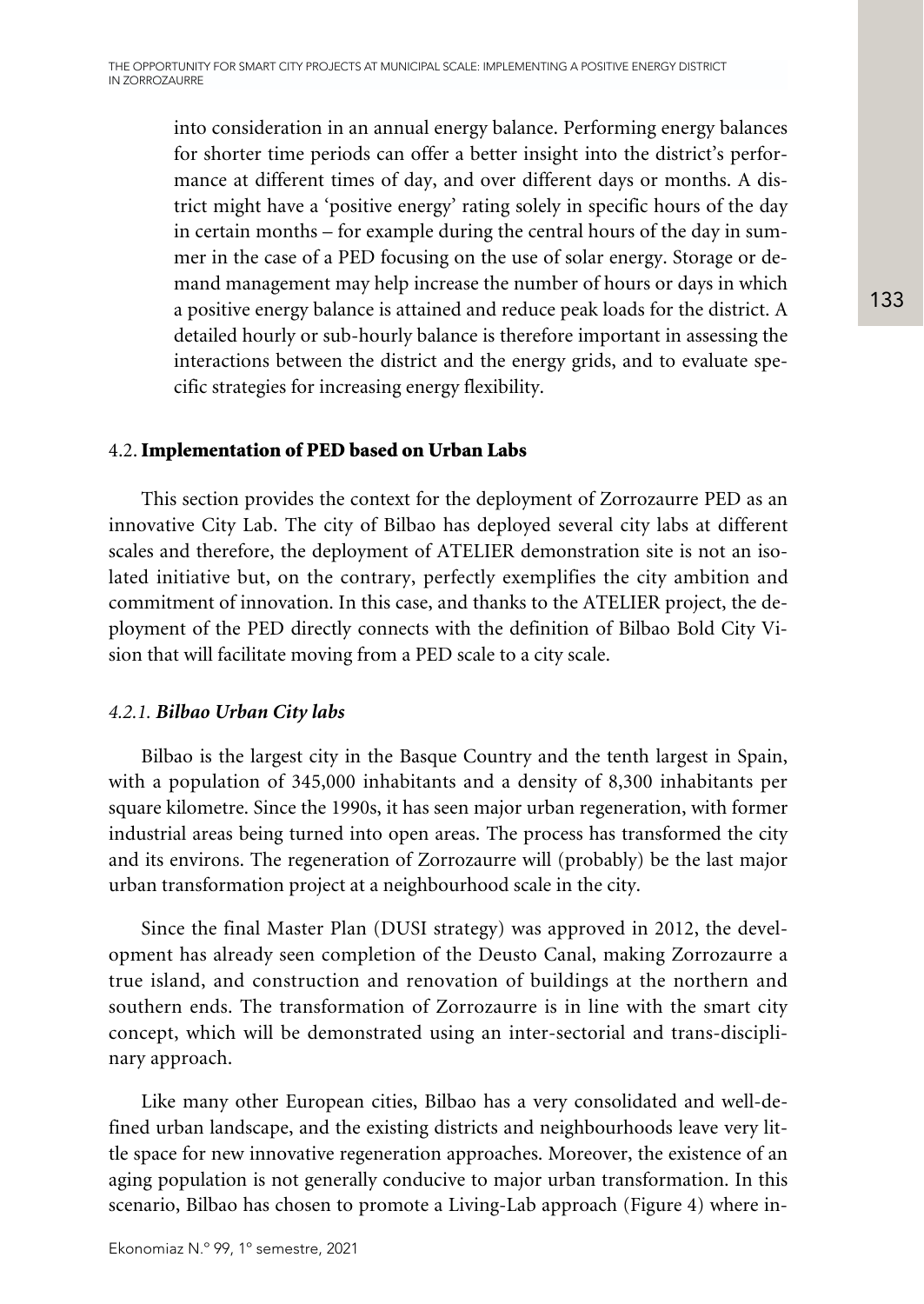into consideration in an annual energy balance. Performing energy balances for shorter time periods can offer a better insight into the district's performance at different times of day, and over different days or months. A district might have a 'positive energy' rating solely in specific hours of the day in certain months – for example during the central hours of the day in summer in the case of a PED focusing on the use of solar energy. Storage or demand management may help increase the number of hours or days in which a positive energy balance is attained and reduce peak loads for the district. A detailed hourly or sub-hourly balance is therefore important in assessing the interactions between the district and the energy grids, and to evaluate specific strategies for increasing energy flexibility.

#### 4.2.Implementation of PED based on Urban Labs

This section provides the context for the deployment of Zorrozaurre PED as an innovative City Lab. The city of Bilbao has deployed several city labs at different scales and therefore, the deployment of ATELIER demonstration site is not an isolated initiative but, on the contrary, perfectly exemplifies the city ambition and commitment of innovation. In this case, and thanks to the ATELIER project, the deployment of the PED directly connects with the definition of Bilbao Bold City Vision that will facilitate moving from a PED scale to a city scale.

#### *4.2.1. Bilbao Urban City labs*

Bilbao is the largest city in the Basque Country and the tenth largest in Spain, with a population of 345,000 inhabitants and a density of 8,300 inhabitants per square kilometre. Since the 1990s, it has seen major urban regeneration, with former industrial areas being turned into open areas. The process has transformed the city and its environs. The regeneration of Zorrozaurre will (probably) be the last major urban transformation project at a neighbourhood scale in the city.

Since the final Master Plan (DUSI strategy) was approved in 2012, the development has already seen completion of the Deusto Canal, making Zorrozaurre a true island, and construction and renovation of buildings at the northern and southern ends. The transformation of Zorrozaurre is in line with the smart city concept, which will be demonstrated using an inter-sectorial and trans-disciplinary approach.

Like many other European cities, Bilbao has a very consolidated and well-defined urban landscape, and the existing districts and neighbourhoods leave very little space for new innovative regeneration approaches. Moreover, the existence of an aging population is not generally conducive to major urban transformation. In this scenario, Bilbao has chosen to promote a Living-Lab approach (Figure 4) where in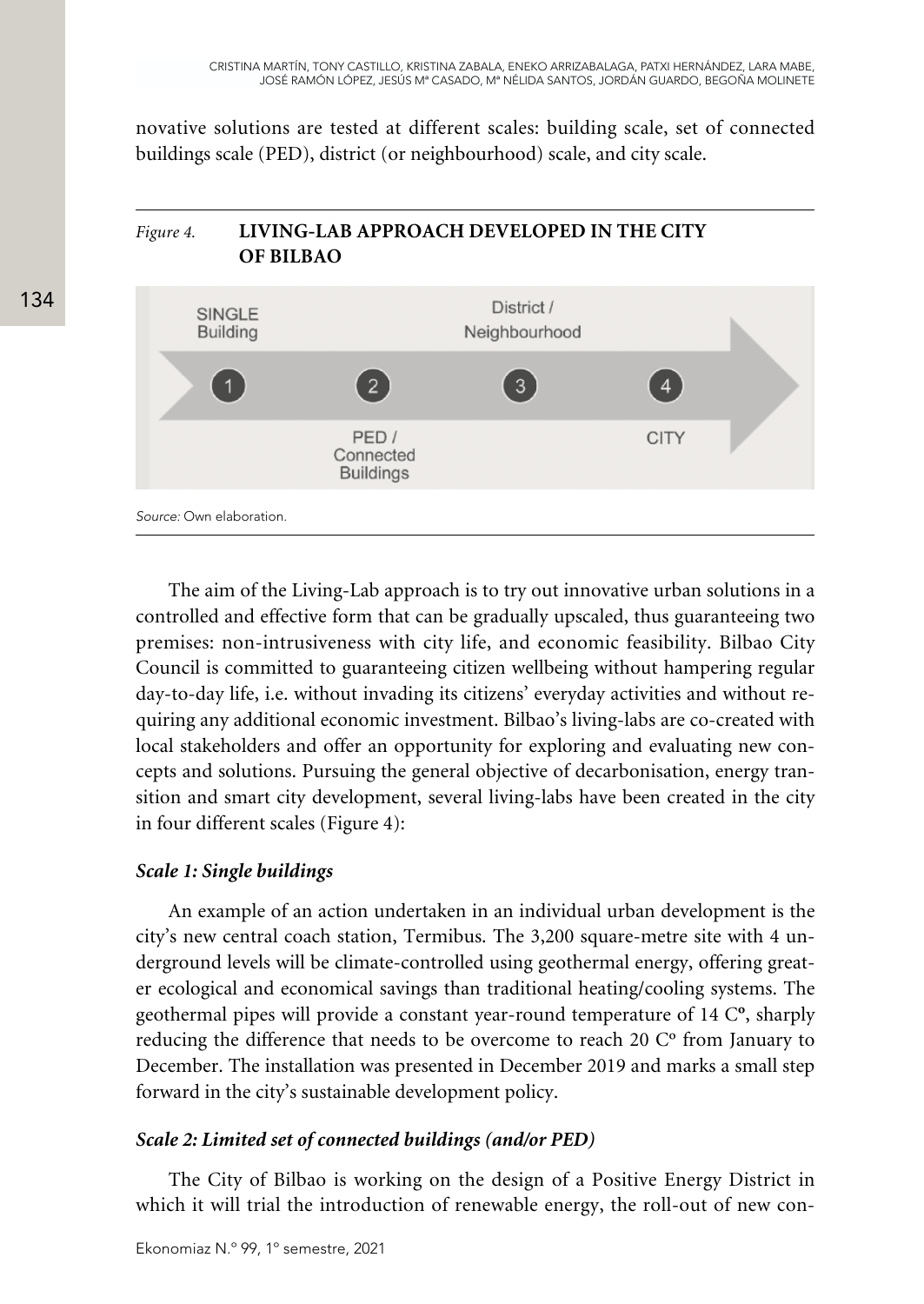novative solutions are tested at different scales: building scale, set of connected buildings scale (PED), district (or neighbourhood) scale, and city scale.

# *Figure 4.* **LIVING-LAB APPROACH DEVELOPED IN THE CITY OF BILBAO**



The aim of the Living-Lab approach is to try out innovative urban solutions in a controlled and effective form that can be gradually upscaled, thus guaranteeing two premises: non-intrusiveness with city life, and economic feasibility. Bilbao City Council is committed to guaranteeing citizen wellbeing without hampering regular day-to-day life, i.e. without invading its citizens' everyday activities and without requiring any additional economic investment. Bilbao's living-labs are co-created with local stakeholders and offer an opportunity for exploring and evaluating new concepts and solutions. Pursuing the general objective of decarbonisation, energy transition and smart city development, several living-labs have been created in the city in four different scales (Figure 4):

# *Scale 1: Single buildings*

An example of an action undertaken in an individual urban development is the city's new central coach station, Termibus. The 3,200 square-metre site with 4 underground levels will be climate-controlled using geothermal energy, offering greater ecological and economical savings than traditional heating/cooling systems. The geothermal pipes will provide a constant year-round temperature of 14 C**º**, sharply reducing the difference that needs to be overcome to reach 20 Cº from January to December. The installation was presented in December 2019 and marks a small step forward in the city's sustainable development policy.

# *Scale 2: Limited set of connected buildings (and/or PED)*

The City of Bilbao is working on the design of a Positive Energy District in which it will trial the introduction of renewable energy, the roll-out of new con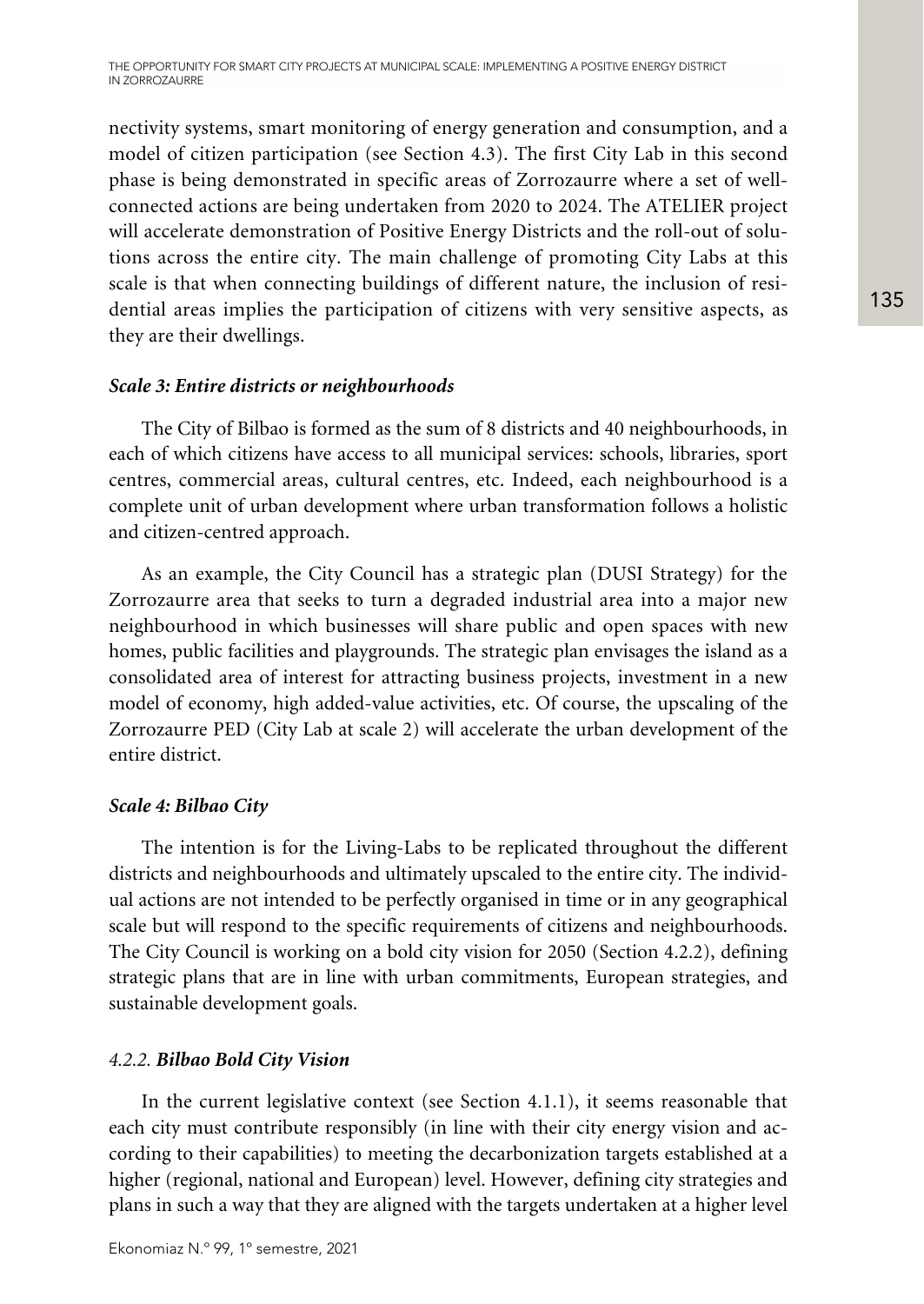nectivity systems, smart monitoring of energy generation and consumption, and a model of citizen participation (see Section 4.3). The first City Lab in this second phase is being demonstrated in specific areas of Zorrozaurre where a set of wellconnected actions are being undertaken from 2020 to 2024. The ATELIER project will accelerate demonstration of Positive Energy Districts and the roll-out of solutions across the entire city. The main challenge of promoting City Labs at this scale is that when connecting buildings of different nature, the inclusion of residential areas implies the participation of citizens with very sensitive aspects, as they are their dwellings.

#### *Scale 3: Entire districts or neighbourhoods*

The City of Bilbao is formed as the sum of 8 districts and 40 neighbourhoods, in each of which citizens have access to all municipal services: schools, libraries, sport centres, commercial areas, cultural centres, etc. Indeed, each neighbourhood is a complete unit of urban development where urban transformation follows a holistic and citizen-centred approach.

As an example, the City Council has a strategic plan (DUSI Strategy) for the Zorrozaurre area that seeks to turn a degraded industrial area into a major new neighbourhood in which businesses will share public and open spaces with new homes, public facilities and playgrounds. The strategic plan envisages the island as a consolidated area of interest for attracting business projects, investment in a new model of economy, high added-value activities, etc. Of course, the upscaling of the Zorrozaurre PED (City Lab at scale 2) will accelerate the urban development of the entire district.

#### *Scale 4: Bilbao City*

The intention is for the Living-Labs to be replicated throughout the different districts and neighbourhoods and ultimately upscaled to the entire city. The individual actions are not intended to be perfectly organised in time or in any geographical scale but will respond to the specific requirements of citizens and neighbourhoods. The City Council is working on a bold city vision for 2050 (Section 4.2.2), defining strategic plans that are in line with urban commitments, European strategies, and sustainable development goals.

#### *4.2.2. Bilbao Bold City Vision*

In the current legislative context (see Section 4.1.1), it seems reasonable that each city must contribute responsibly (in line with their city energy vision and according to their capabilities) to meeting the decarbonization targets established at a higher (regional, national and European) level. However, defining city strategies and plans in such a way that they are aligned with the targets undertaken at a higher level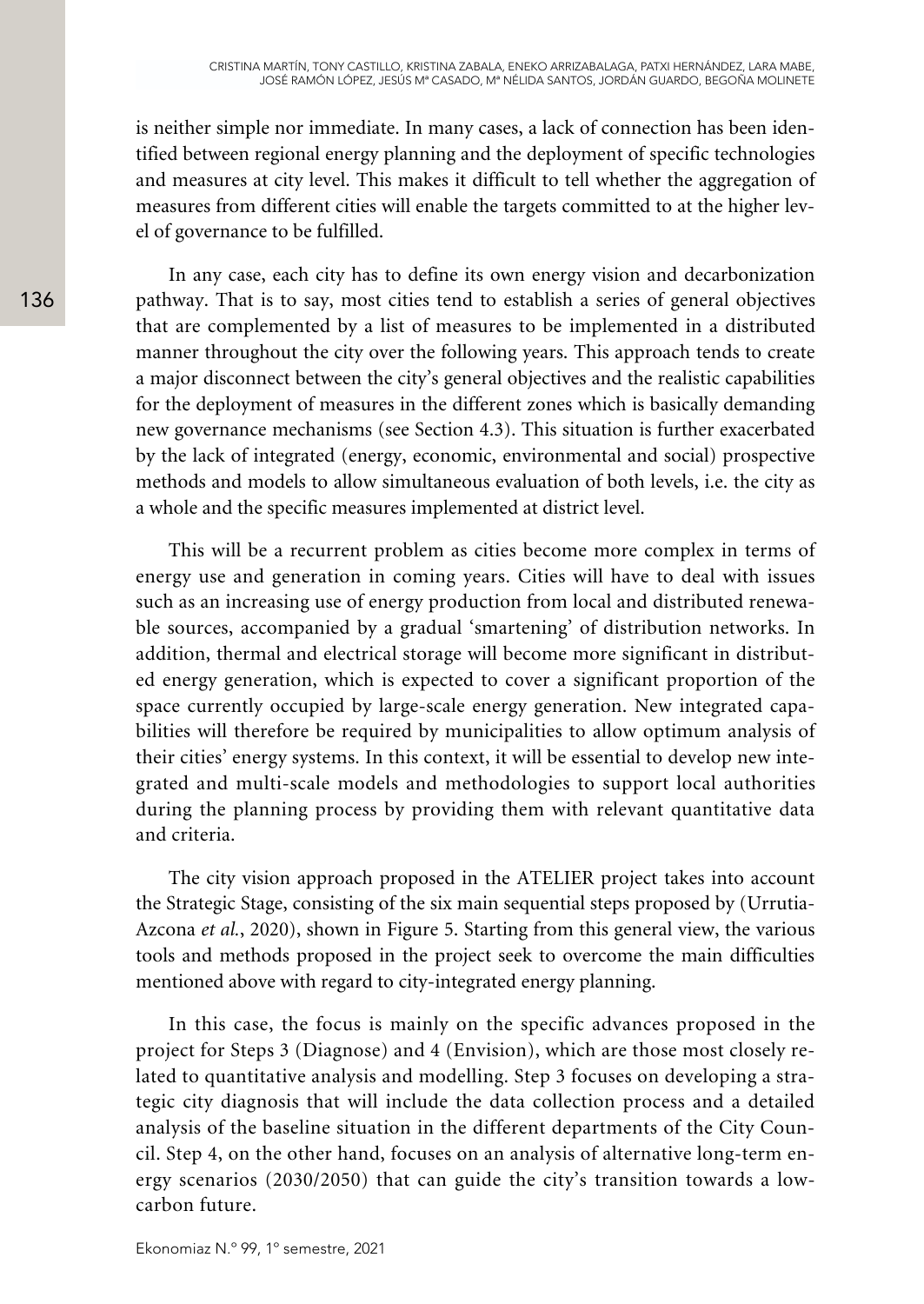is neither simple nor immediate. In many cases, a lack of connection has been identified between regional energy planning and the deployment of specific technologies and measures at city level. This makes it difficult to tell whether the aggregation of measures from different cities will enable the targets committed to at the higher level of governance to be fulfilled.

In any case, each city has to define its own energy vision and decarbonization pathway. That is to say, most cities tend to establish a series of general objectives that are complemented by a list of measures to be implemented in a distributed manner throughout the city over the following years. This approach tends to create a major disconnect between the city's general objectives and the realistic capabilities for the deployment of measures in the different zones which is basically demanding new governance mechanisms (see Section 4.3). This situation is further exacerbated by the lack of integrated (energy, economic, environmental and social) prospective methods and models to allow simultaneous evaluation of both levels, i.e. the city as a whole and the specific measures implemented at district level.

This will be a recurrent problem as cities become more complex in terms of energy use and generation in coming years. Cities will have to deal with issues such as an increasing use of energy production from local and distributed renewable sources, accompanied by a gradual 'smartening' of distribution networks. In addition, thermal and electrical storage will become more significant in distributed energy generation, which is expected to cover a significant proportion of the space currently occupied by large-scale energy generation. New integrated capabilities will therefore be required by municipalities to allow optimum analysis of their cities' energy systems. In this context, it will be essential to develop new integrated and multi-scale models and methodologies to support local authorities during the planning process by providing them with relevant quantitative data and criteria.

The city vision approach proposed in the ATELIER project takes into account the Strategic Stage, consisting of the six main sequential steps proposed by (Urrutia-Azcona *et al.*, 2020), shown in Figure 5. Starting from this general view, the various tools and methods proposed in the project seek to overcome the main difficulties mentioned above with regard to city-integrated energy planning.

In this case, the focus is mainly on the specific advances proposed in the project for Steps 3 (Diagnose) and 4 (Envision), which are those most closely related to quantitative analysis and modelling. Step 3 focuses on developing a strategic city diagnosis that will include the data collection process and a detailed analysis of the baseline situation in the different departments of the City Council. Step 4, on the other hand, focuses on an analysis of alternative long-term energy scenarios (2030/2050) that can guide the city's transition towards a lowcarbon future.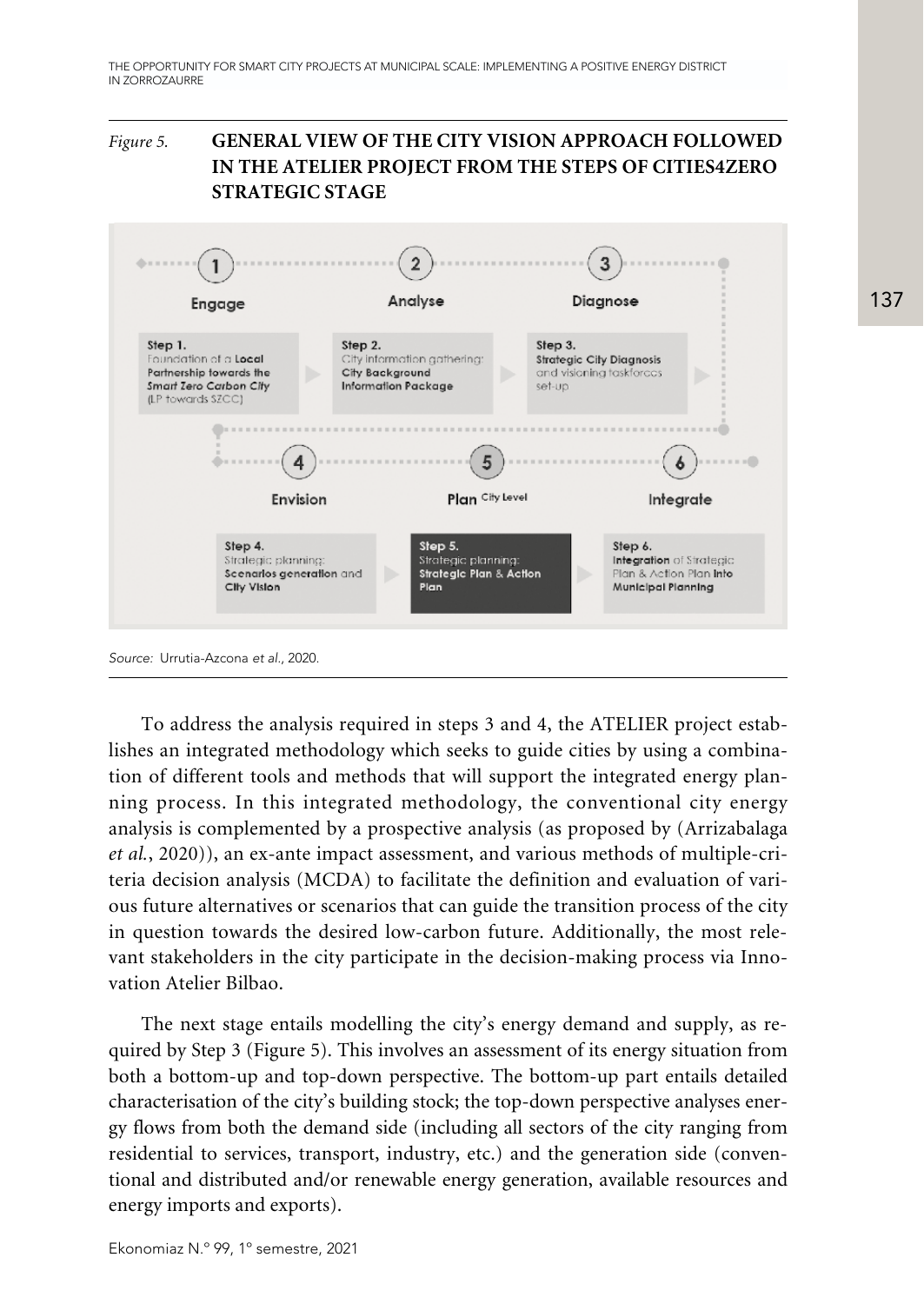# *Figure 5.* **GENERAL VIEW OF THE CITY VISION APPROACH FOLLOWED IN THE ATELIER PROJECT FROM THE STEPS OF CITIES4ZERO STRATEGIC STAGE**



To address the analysis required in steps 3 and 4, the ATELIER project establishes an integrated methodology which seeks to guide cities by using a combination of different tools and methods that will support the integrated energy planning process. In this integrated methodology, the conventional city energy analysis is complemented by a prospective analysis (as proposed by (Arrizabalaga *et al.*, 2020)), an ex-ante impact assessment, and various methods of multiple-criteria decision analysis (MCDA) to facilitate the definition and evaluation of various future alternatives or scenarios that can guide the transition process of the city in question towards the desired low-carbon future. Additionally, the most relevant stakeholders in the city participate in the decision-making process via Innovation Atelier Bilbao.

The next stage entails modelling the city's energy demand and supply, as required by Step 3 (Figure 5). This involves an assessment of its energy situation from both a bottom-up and top-down perspective. The bottom-up part entails detailed characterisation of the city's building stock; the top-down perspective analyses energy flows from both the demand side (including all sectors of the city ranging from residential to services, transport, industry, etc.) and the generation side (conventional and distributed and/or renewable energy generation, available resources and energy imports and exports).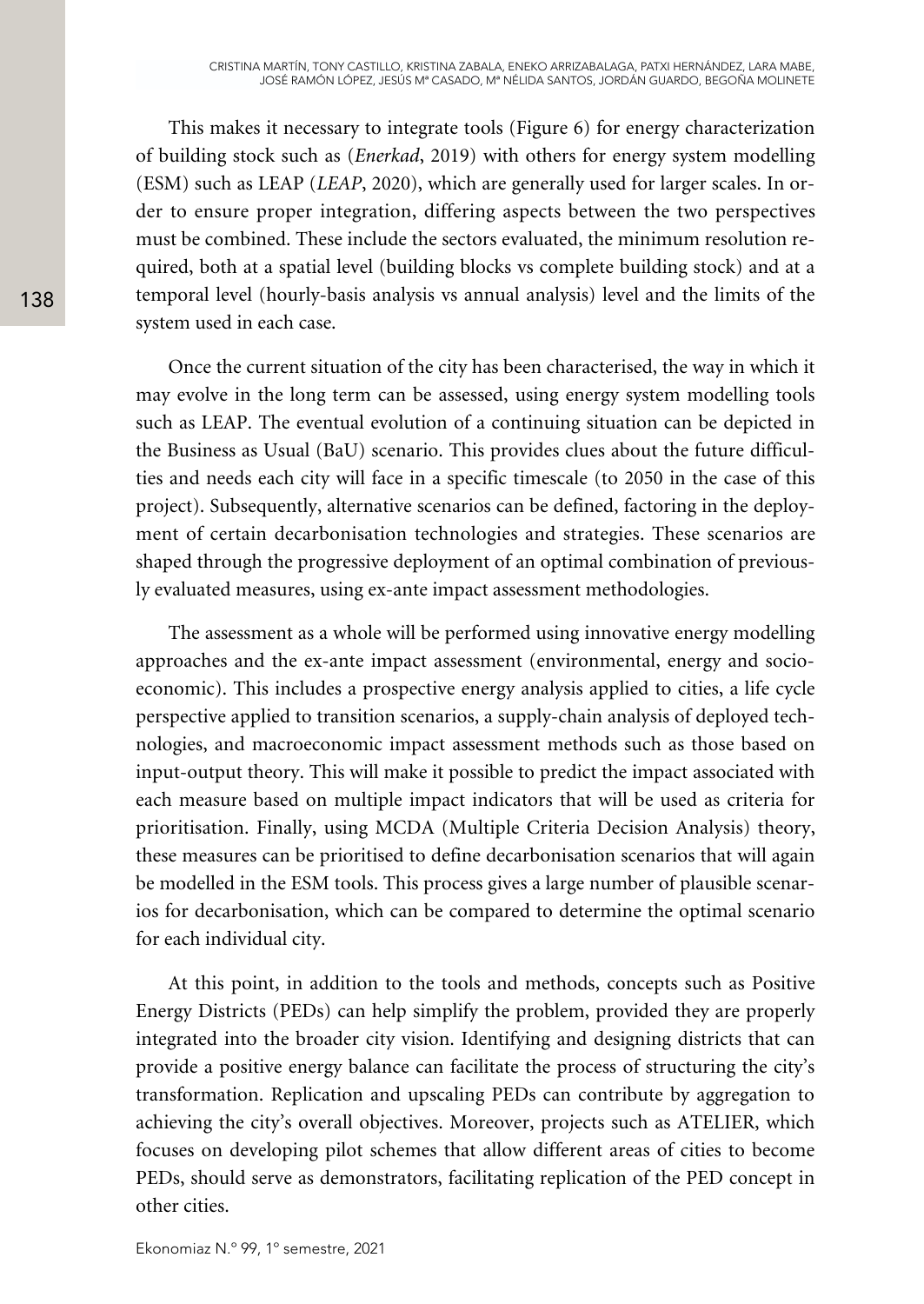This makes it necessary to integrate tools (Figure 6) for energy characterization of building stock such as (*Enerkad*, 2019) with others for energy system modelling (ESM) such as LEAP (*LEAP*, 2020), which are generally used for larger scales. In order to ensure proper integration, differing aspects between the two perspectives must be combined. These include the sectors evaluated, the minimum resolution required, both at a spatial level (building blocks vs complete building stock) and at a temporal level (hourly-basis analysis vs annual analysis) level and the limits of the system used in each case.

Once the current situation of the city has been characterised, the way in which it may evolve in the long term can be assessed, using energy system modelling tools such as LEAP. The eventual evolution of a continuing situation can be depicted in the Business as Usual (BaU) scenario. This provides clues about the future difficulties and needs each city will face in a specific timescale (to 2050 in the case of this project). Subsequently, alternative scenarios can be defined, factoring in the deployment of certain decarbonisation technologies and strategies. These scenarios are shaped through the progressive deployment of an optimal combination of previously evaluated measures, using ex-ante impact assessment methodologies.

The assessment as a whole will be performed using innovative energy modelling approaches and the ex-ante impact assessment (environmental, energy and socioeconomic). This includes a prospective energy analysis applied to cities, a life cycle perspective applied to transition scenarios, a supply-chain analysis of deployed technologies, and macroeconomic impact assessment methods such as those based on input-output theory. This will make it possible to predict the impact associated with each measure based on multiple impact indicators that will be used as criteria for prioritisation. Finally, using MCDA (Multiple Criteria Decision Analysis) theory, these measures can be prioritised to define decarbonisation scenarios that will again be modelled in the ESM tools. This process gives a large number of plausible scenarios for decarbonisation, which can be compared to determine the optimal scenario for each individual city.

At this point, in addition to the tools and methods, concepts such as Positive Energy Districts (PEDs) can help simplify the problem, provided they are properly integrated into the broader city vision. Identifying and designing districts that can provide a positive energy balance can facilitate the process of structuring the city's transformation. Replication and upscaling PEDs can contribute by aggregation to achieving the city's overall objectives. Moreover, projects such as ATELIER, which focuses on developing pilot schemes that allow different areas of cities to become PEDs, should serve as demonstrators, facilitating replication of the PED concept in other cities.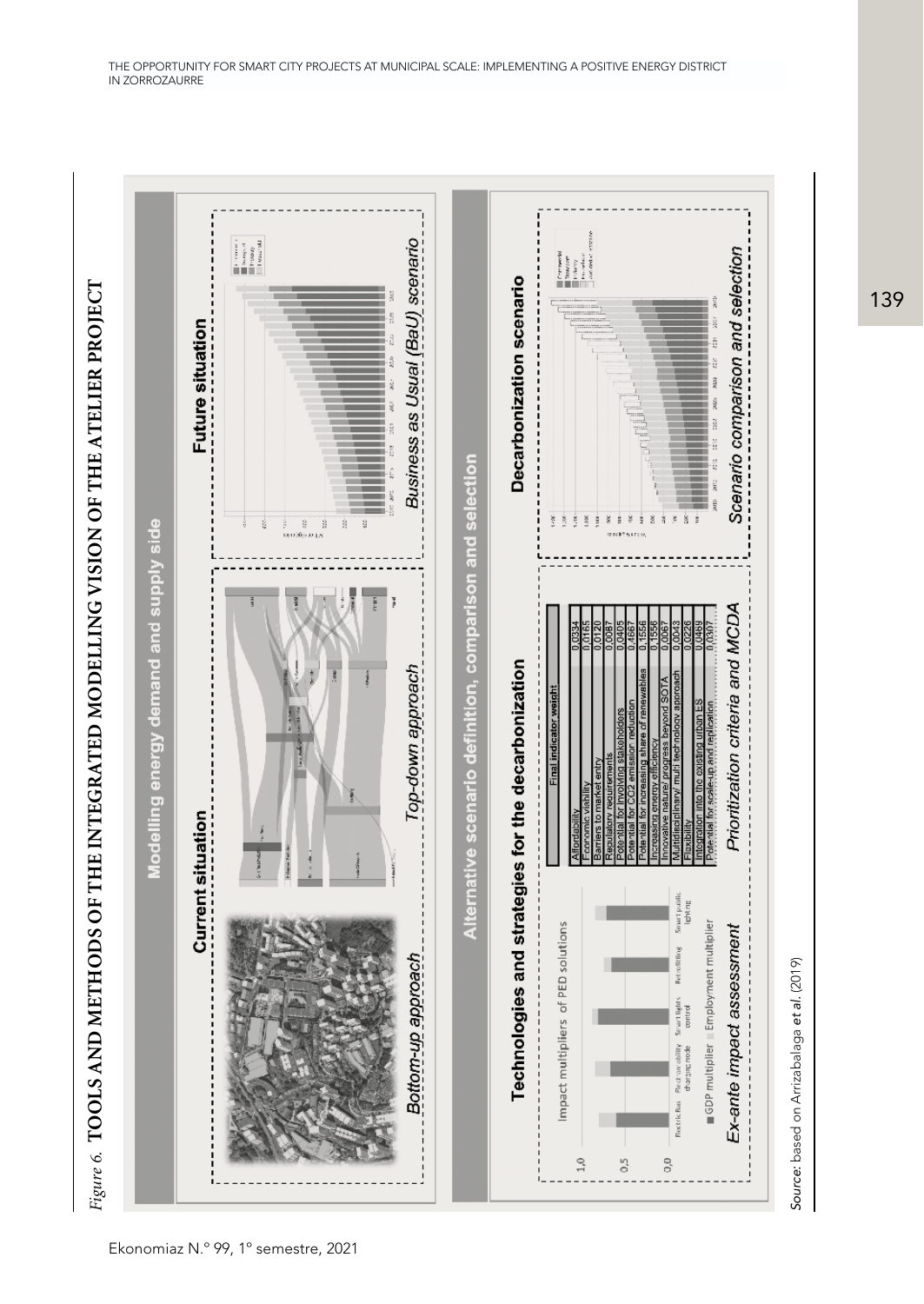

139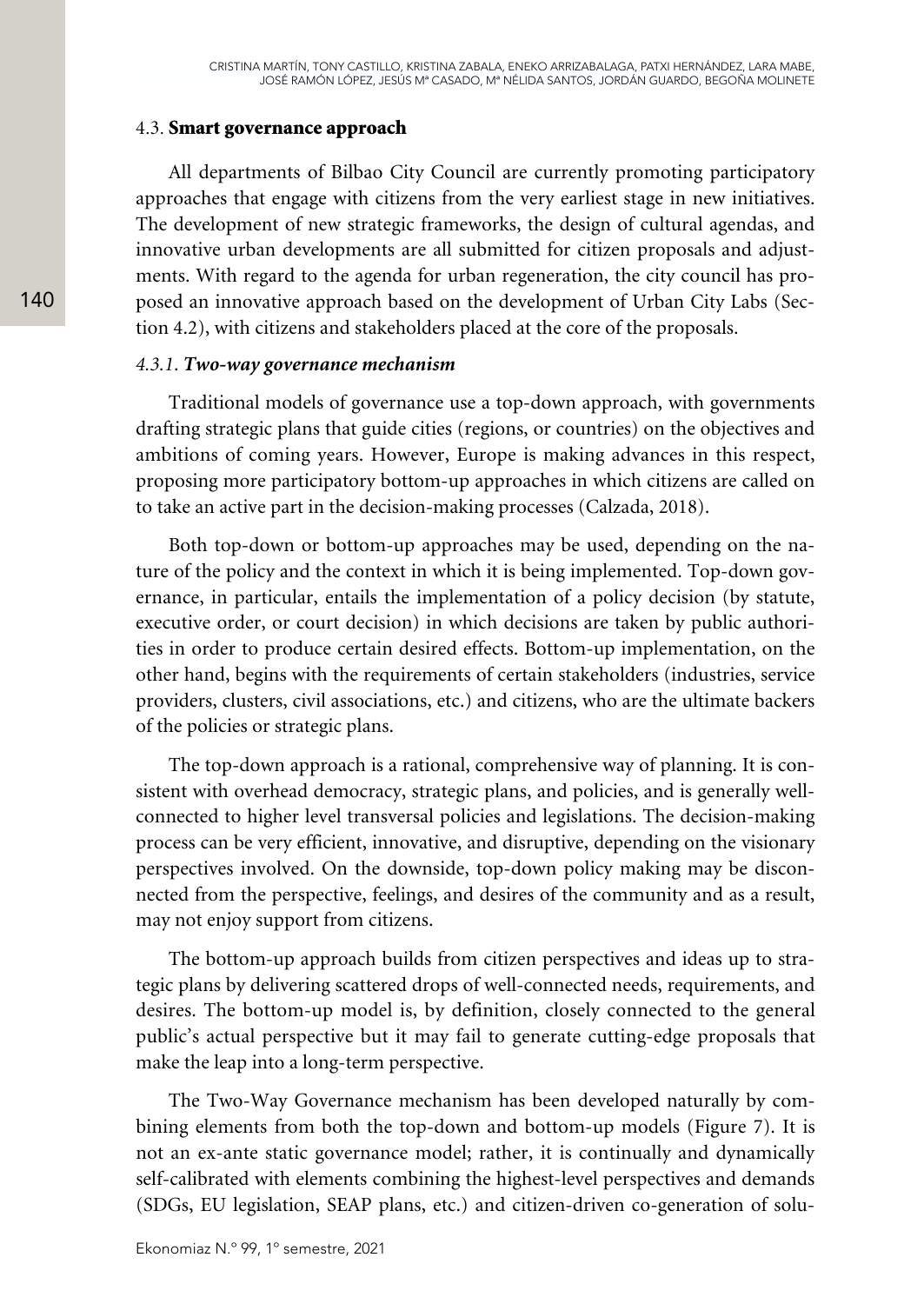#### 4.3. Smart governance approach

All departments of Bilbao City Council are currently promoting participatory approaches that engage with citizens from the very earliest stage in new initiatives. The development of new strategic frameworks, the design of cultural agendas, and innovative urban developments are all submitted for citizen proposals and adjustments. With regard to the agenda for urban regeneration, the city council has proposed an innovative approach based on the development of Urban City Labs (Section 4.2), with citizens and stakeholders placed at the core of the proposals.

#### *4.3.1*. *Two-way governance mechanism*

Traditional models of governance use a top-down approach, with governments drafting strategic plans that guide cities (regions, or countries) on the objectives and ambitions of coming years. However, Europe is making advances in this respect, proposing more participatory bottom-up approaches in which citizens are called on to take an active part in the decision-making processes (Calzada, 2018).

Both top-down or bottom-up approaches may be used, depending on the nature of the policy and the context in which it is being implemented. Top-down governance, in particular, entails the implementation of a policy decision (by statute, executive order, or court decision) in which decisions are taken by public authorities in order to produce certain desired effects. Bottom-up implementation, on the other hand, begins with the requirements of certain stakeholders (industries, service providers, clusters, civil associations, etc.) and citizens, who are the ultimate backers of the policies or strategic plans.

The top-down approach is a rational, comprehensive way of planning. It is consistent with overhead democracy, strategic plans, and policies, and is generally wellconnected to higher level transversal policies and legislations. The decision-making process can be very efficient, innovative, and disruptive, depending on the visionary perspectives involved. On the downside, top-down policy making may be disconnected from the perspective, feelings, and desires of the community and as a result, may not enjoy support from citizens.

The bottom-up approach builds from citizen perspectives and ideas up to strategic plans by delivering scattered drops of well-connected needs, requirements, and desires. The bottom-up model is, by definition, closely connected to the general public's actual perspective but it may fail to generate cutting-edge proposals that make the leap into a long-term perspective.

The Two-Way Governance mechanism has been developed naturally by combining elements from both the top-down and bottom-up models (Figure 7). It is not an ex-ante static governance model; rather, it is continually and dynamically self-calibrated with elements combining the highest-level perspectives and demands (SDGs, EU legislation, SEAP plans, etc.) and citizen-driven co-generation of solu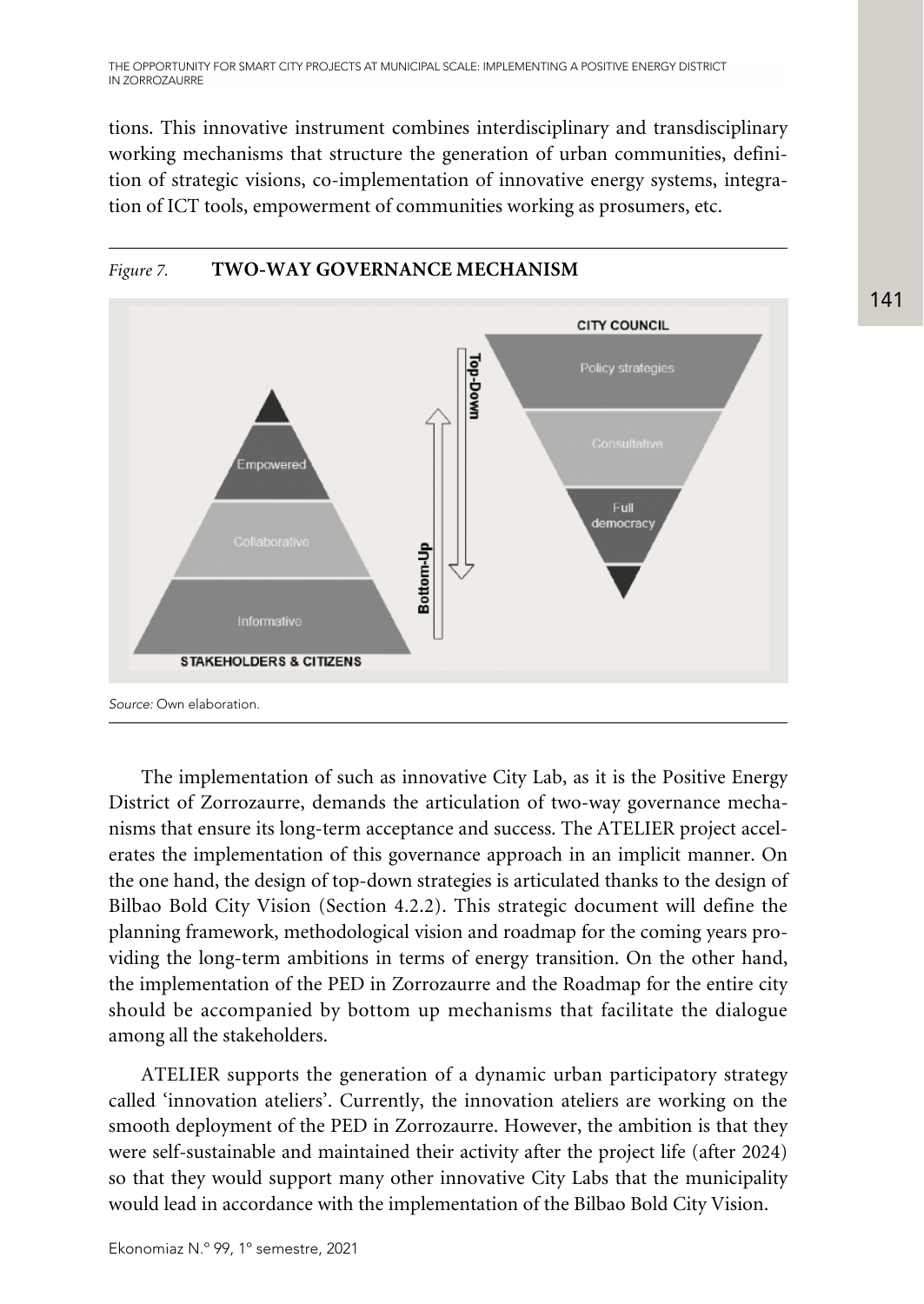tions. This innovative instrument combines interdisciplinary and transdisciplinary working mechanisms that structure the generation of urban communities, definition of strategic visions, co-implementation of innovative energy systems, integration of ICT tools, empowerment of communities working as prosumers, etc.



#### *Figure 7.* **TWO-WAY GOVERNANCE MECHANISM**

The implementation of such as innovative City Lab, as it is the Positive Energy District of Zorrozaurre, demands the articulation of two-way governance mechanisms that ensure its long-term acceptance and success. The ATELIER project accelerates the implementation of this governance approach in an implicit manner. On the one hand, the design of top-down strategies is articulated thanks to the design of Bilbao Bold City Vision (Section 4.2.2). This strategic document will define the planning framework, methodological vision and roadmap for the coming years providing the long-term ambitions in terms of energy transition. On the other hand, the implementation of the PED in Zorrozaurre and the Roadmap for the entire city should be accompanied by bottom up mechanisms that facilitate the dialogue among all the stakeholders.

ATELIER supports the generation of a dynamic urban participatory strategy called 'innovation ateliers'. Currently, the innovation ateliers are working on the smooth deployment of the PED in Zorrozaurre. However, the ambition is that they were self-sustainable and maintained their activity after the project life (after 2024) so that they would support many other innovative City Labs that the municipality would lead in accordance with the implementation of the Bilbao Bold City Vision.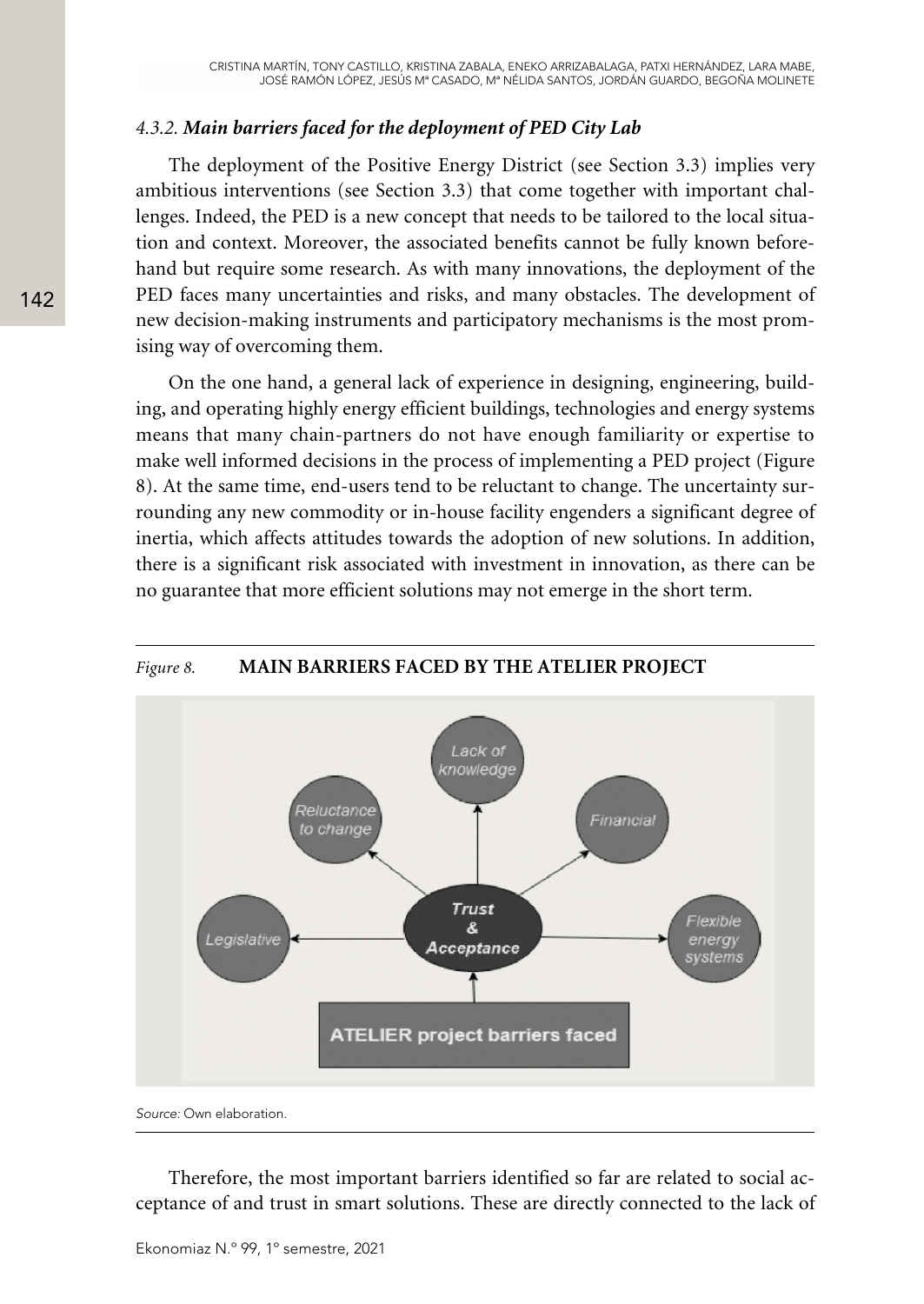### *4.3.2. Main barriers faced for the deployment of PED City Lab*

The deployment of the Positive Energy District (see Section 3.3) implies very ambitious interventions (see Section 3.3) that come together with important challenges. Indeed, the PED is a new concept that needs to be tailored to the local situation and context. Moreover, the associated benefits cannot be fully known beforehand but require some research. As with many innovations, the deployment of the PED faces many uncertainties and risks, and many obstacles. The development of new decision-making instruments and participatory mechanisms is the most promising way of overcoming them.

On the one hand, a general lack of experience in designing, engineering, building, and operating highly energy efficient buildings, technologies and energy systems means that many chain-partners do not have enough familiarity or expertise to make well informed decisions in the process of implementing a PED project (Figure 8). At the same time, end-users tend to be reluctant to change. The uncertainty surrounding any new commodity or in-house facility engenders a significant degree of inertia, which affects attitudes towards the adoption of new solutions. In addition, there is a significant risk associated with investment in innovation, as there can be no guarantee that more efficient solutions may not emerge in the short term.



#### *Figure 8.* **MAIN BARRIERS FACED BY THE ATELIER PROJECT**

Source: Own elaboration.

Therefore, the most important barriers identified so far are related to social acceptance of and trust in smart solutions. These are directly connected to the lack of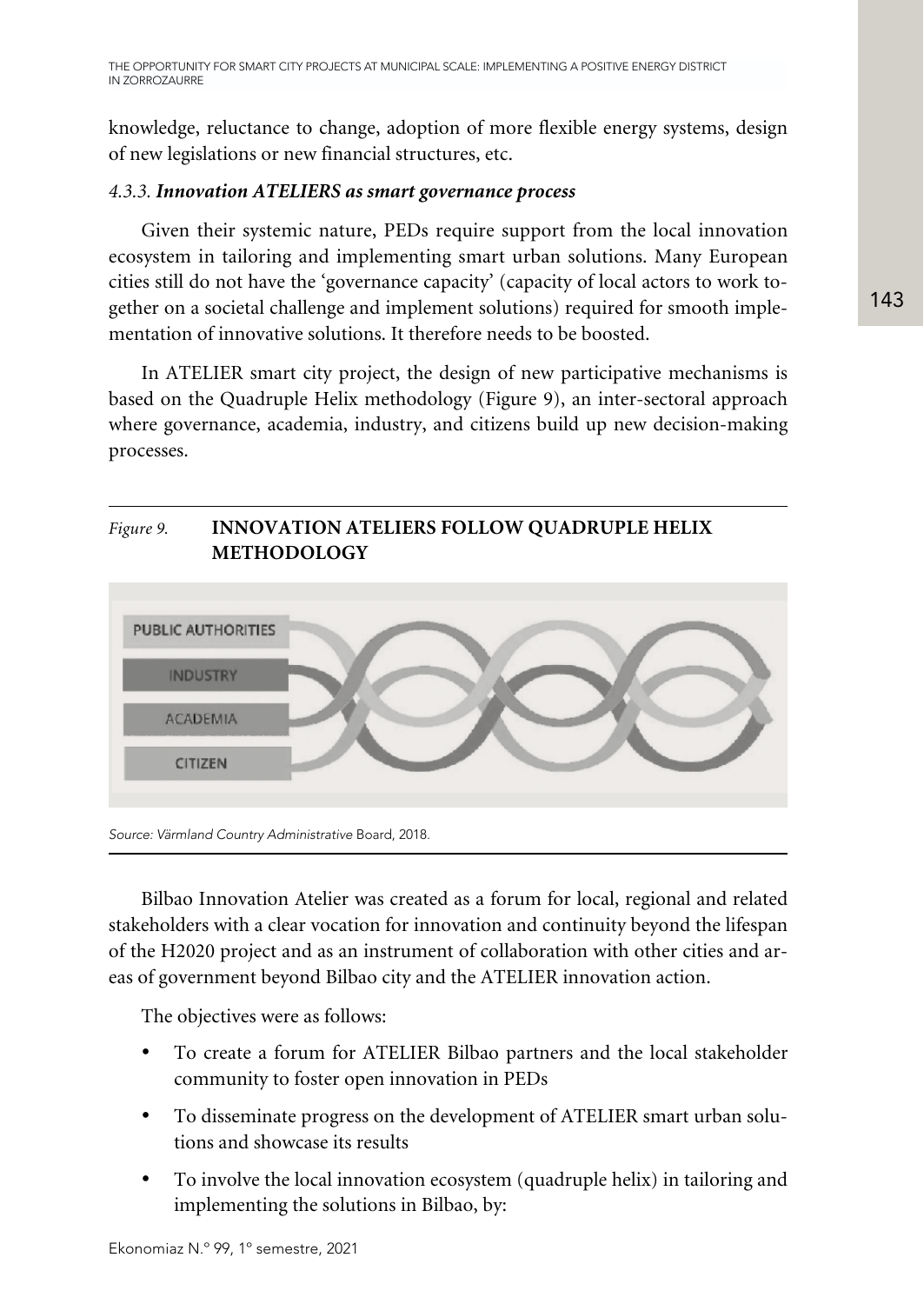knowledge, reluctance to change, adoption of more flexible energy systems, design of new legislations or new financial structures, etc.

### *4.3.3. Innovation ATELIERS as smart governance process*

Given their systemic nature, PEDs require support from the local innovation ecosystem in tailoring and implementing smart urban solutions. Many European cities still do not have the 'governance capacity' (capacity of local actors to work together on a societal challenge and implement solutions) required for smooth implementation of innovative solutions. It therefore needs to be boosted.

In ATELIER smart city project, the design of new participative mechanisms is based on the Quadruple Helix methodology (Figure 9), an inter-sectoral approach where governance, academia, industry, and citizens build up new decision-making processes.

# *Figure 9.* **INNOVATION ATELIERS FOLLOW QUADRUPLE HELIX METHODOLOGY**



Source: Värmland Country Administrative Board, 2018.

Bilbao Innovation Atelier was created as a forum for local, regional and related stakeholders with a clear vocation for innovation and continuity beyond the lifespan of the H2020 project and as an instrument of collaboration with other cities and areas of government beyond Bilbao city and the ATELIER innovation action.

The objectives were as follows:

- To create a forum for ATELIER Bilbao partners and the local stakeholder community to foster open innovation in PEDs
- To disseminate progress on the development of ATELIER smart urban solutions and showcase its results
- To involve the local innovation ecosystem (quadruple helix) in tailoring and implementing the solutions in Bilbao, by: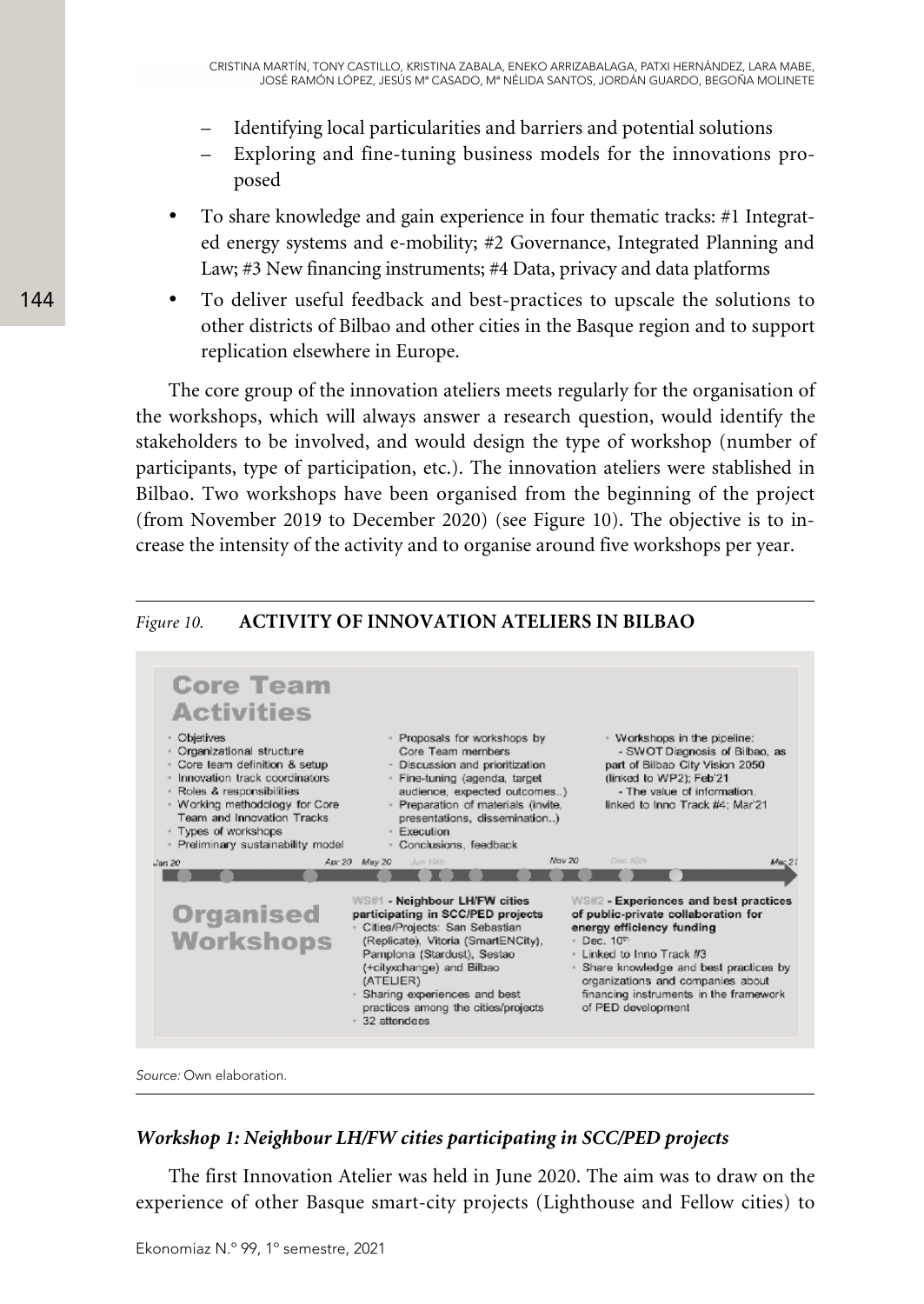- Identifying local particularities and barriers and potential solutions
- Exploring and fine-tuning business models for the innovations proposed
- To share knowledge and gain experience in four thematic tracks: #1 Integrated energy systems and e-mobility; #2 Governance, Integrated Planning and Law; #3 New financing instruments; #4 Data, privacy and data platforms
- To deliver useful feedback and best-practices to upscale the solutions to other districts of Bilbao and other cities in the Basque region and to support replication elsewhere in Europe.

The core group of the innovation ateliers meets regularly for the organisation of the workshops, which will always answer a research question, would identify the stakeholders to be involved, and would design the type of workshop (number of participants, type of participation, etc.). The innovation ateliers were stablished in Bilbao. Two workshops have been organised from the beginning of the project (from November 2019 to December 2020) (see Figure 10). The objective is to increase the intensity of the activity and to organise around five workshops per year.



# *Figure 10.* **ACTIVITY OF INNOVATION ATELIERS IN BILBAO**

Source: Own elaboration.

# *Workshop 1: Neighbour LH/FW cities participating in SCC/PED projects*

The first Innovation Atelier was held in June 2020. The aim was to draw on the experience of other Basque smart-city projects (Lighthouse and Fellow cities) to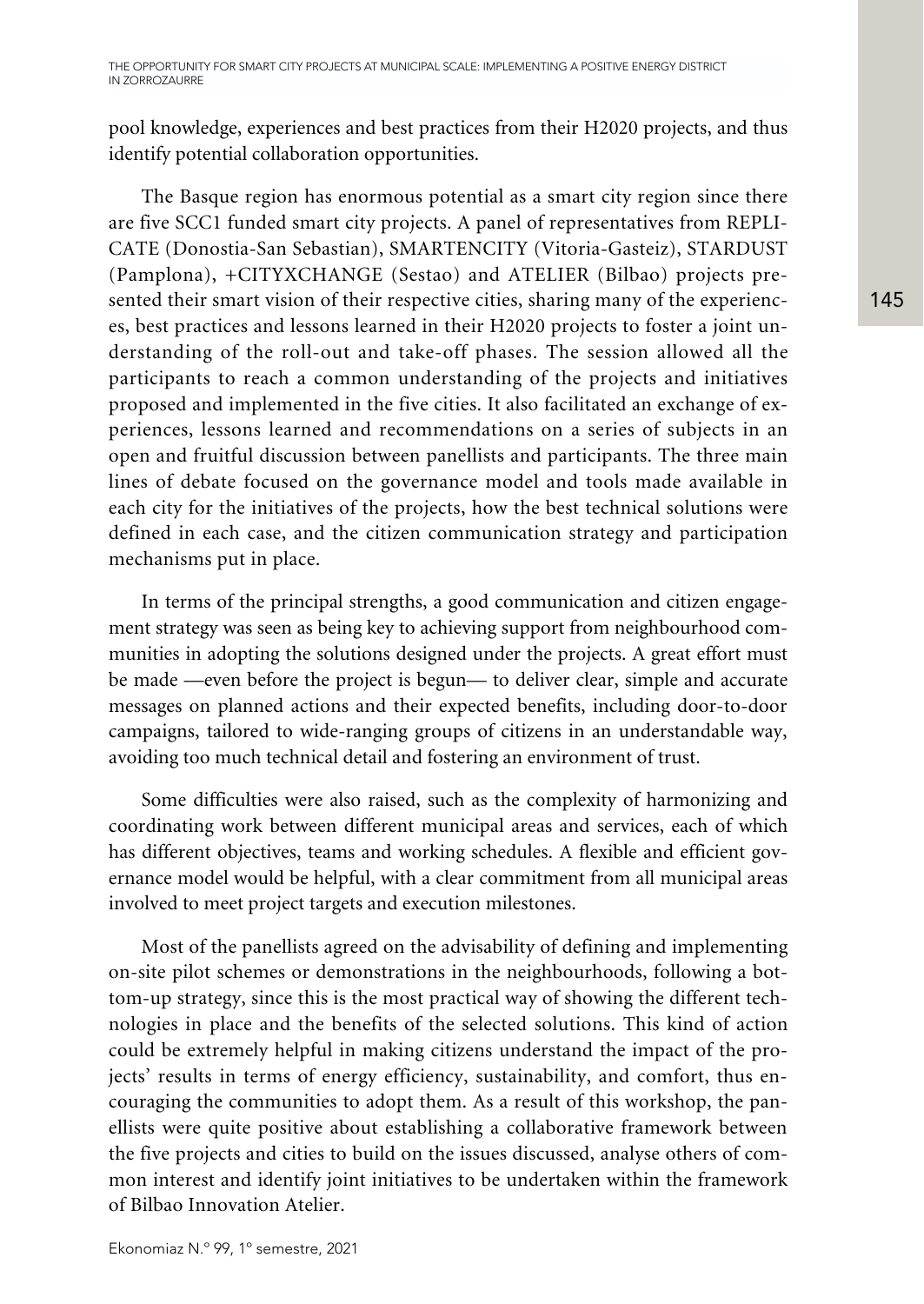pool knowledge, experiences and best practices from their H2020 projects, and thus identify potential collaboration opportunities.

The Basque region has enormous potential as a smart city region since there are five SCC1 funded smart city projects. A panel of representatives from REPLI-CATE (Donostia-San Sebastian), SMARTENCITY (Vitoria-Gasteiz), STARDUST (Pamplona), +CITYXCHANGE (Sestao) and ATELIER (Bilbao) projects presented their smart vision of their respective cities, sharing many of the experiences, best practices and lessons learned in their H2020 projects to foster a joint understanding of the roll-out and take-off phases. The session allowed all the participants to reach a common understanding of the projects and initiatives proposed and implemented in the five cities. It also facilitated an exchange of experiences, lessons learned and recommendations on a series of subjects in an open and fruitful discussion between panellists and participants. The three main lines of debate focused on the governance model and tools made available in each city for the initiatives of the projects, how the best technical solutions were defined in each case, and the citizen communication strategy and participation mechanisms put in place.

In terms of the principal strengths, a good communication and citizen engagement strategy was seen as being key to achieving support from neighbourhood communities in adopting the solutions designed under the projects. A great effort must be made —even before the project is begun— to deliver clear, simple and accurate messages on planned actions and their expected benefits, including door-to-door campaigns, tailored to wide-ranging groups of citizens in an understandable way, avoiding too much technical detail and fostering an environment of trust.

Some difficulties were also raised, such as the complexity of harmonizing and coordinating work between different municipal areas and services, each of which has different objectives, teams and working schedules. A flexible and efficient governance model would be helpful, with a clear commitment from all municipal areas involved to meet project targets and execution milestones.

Most of the panellists agreed on the advisability of defining and implementing on-site pilot schemes or demonstrations in the neighbourhoods, following a bottom-up strategy, since this is the most practical way of showing the different technologies in place and the benefits of the selected solutions. This kind of action could be extremely helpful in making citizens understand the impact of the projects' results in terms of energy efficiency, sustainability, and comfort, thus encouraging the communities to adopt them. As a result of this workshop, the panellists were quite positive about establishing a collaborative framework between the five projects and cities to build on the issues discussed, analyse others of common interest and identify joint initiatives to be undertaken within the framework of Bilbao Innovation Atelier.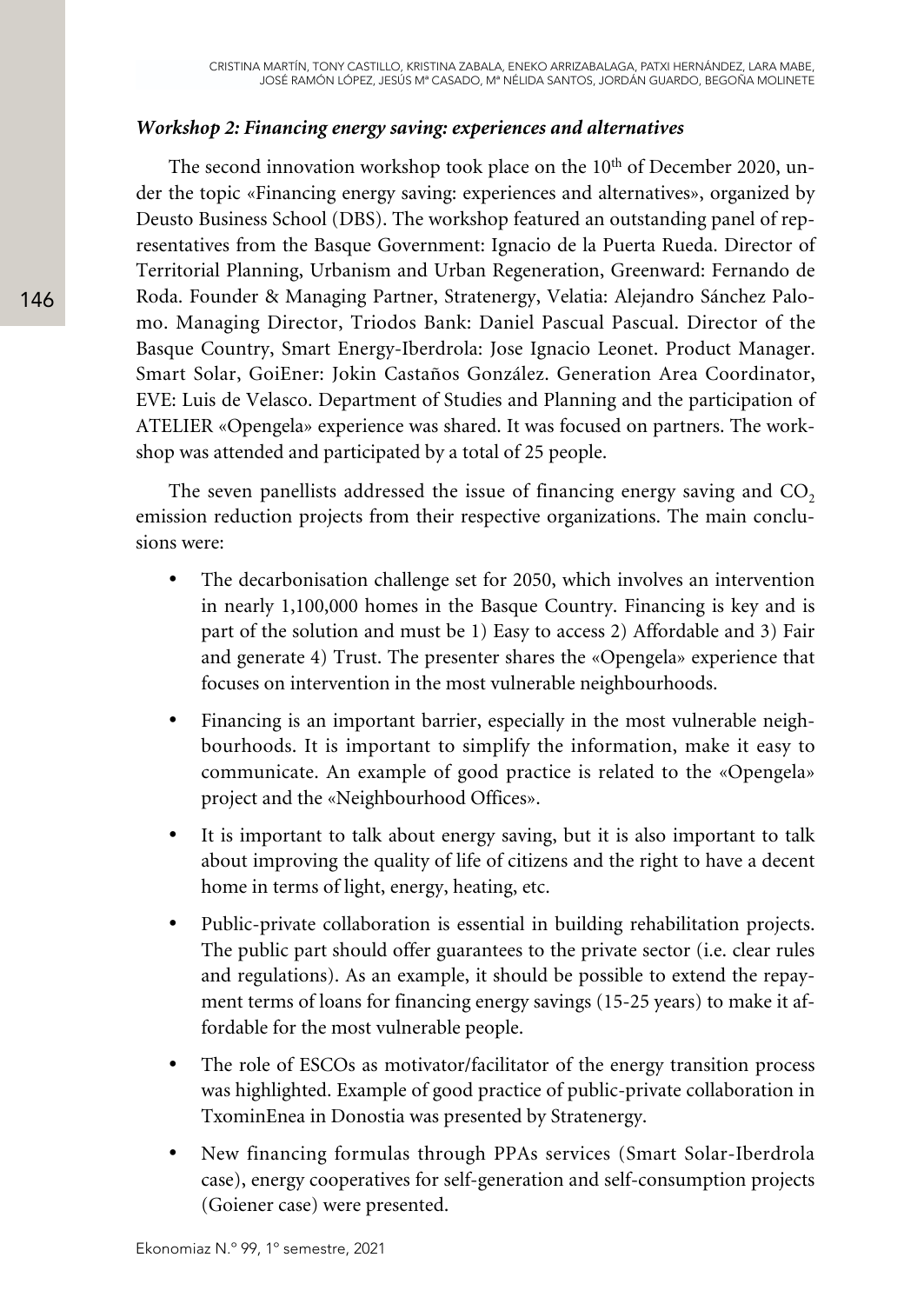### *Workshop 2: Financing energy saving: experiences and alternatives*

The second innovation workshop took place on the 10<sup>th</sup> of December 2020, under the topic «Financing energy saving: experiences and alternatives», organized by Deusto Business School (DBS). The workshop featured an outstanding panel of representatives from the Basque Government: Ignacio de la Puerta Rueda. Director of Territorial Planning, Urbanism and Urban Regeneration, Greenward: Fernando de Roda. Founder & Managing Partner, Stratenergy, Velatia: Alejandro Sánchez Palomo. Managing Director, Triodos Bank: Daniel Pascual Pascual. Director of the Basque Country, Smart Energy-Iberdrola: Jose Ignacio Leonet. Product Manager. Smart Solar, GoiEner: Jokin Castaños González. Generation Area Coordinator, EVE: Luis de Velasco. Department of Studies and Planning and the participation of ATELIER «Opengela» experience was shared. It was focused on partners. The workshop was attended and participated by a total of 25 people.

The seven panellists addressed the issue of financing energy saving and  $CO<sub>2</sub>$ emission reduction projects from their respective organizations. The main conclusions were:

- The decarbonisation challenge set for 2050, which involves an intervention in nearly 1,100,000 homes in the Basque Country. Financing is key and is part of the solution and must be 1) Easy to access 2) Affordable and 3) Fair and generate 4) Trust. The presenter shares the «Opengela» experience that focuses on intervention in the most vulnerable neighbourhoods.
- Financing is an important barrier, especially in the most vulnerable neighbourhoods. It is important to simplify the information, make it easy to communicate. An example of good practice is related to the «Opengela» project and the «Neighbourhood Offices».
- It is important to talk about energy saving, but it is also important to talk about improving the quality of life of citizens and the right to have a decent home in terms of light, energy, heating, etc.
- Public-private collaboration is essential in building rehabilitation projects. The public part should offer guarantees to the private sector (i.e. clear rules and regulations). As an example, it should be possible to extend the repayment terms of loans for financing energy savings (15-25 years) to make it affordable for the most vulnerable people.
- The role of ESCOs as motivator/facilitator of the energy transition process was highlighted. Example of good practice of public-private collaboration in TxominEnea in Donostia was presented by Stratenergy.
- New financing formulas through PPAs services (Smart Solar-Iberdrola case), energy cooperatives for self-generation and self-consumption projects (Goiener case) were presented.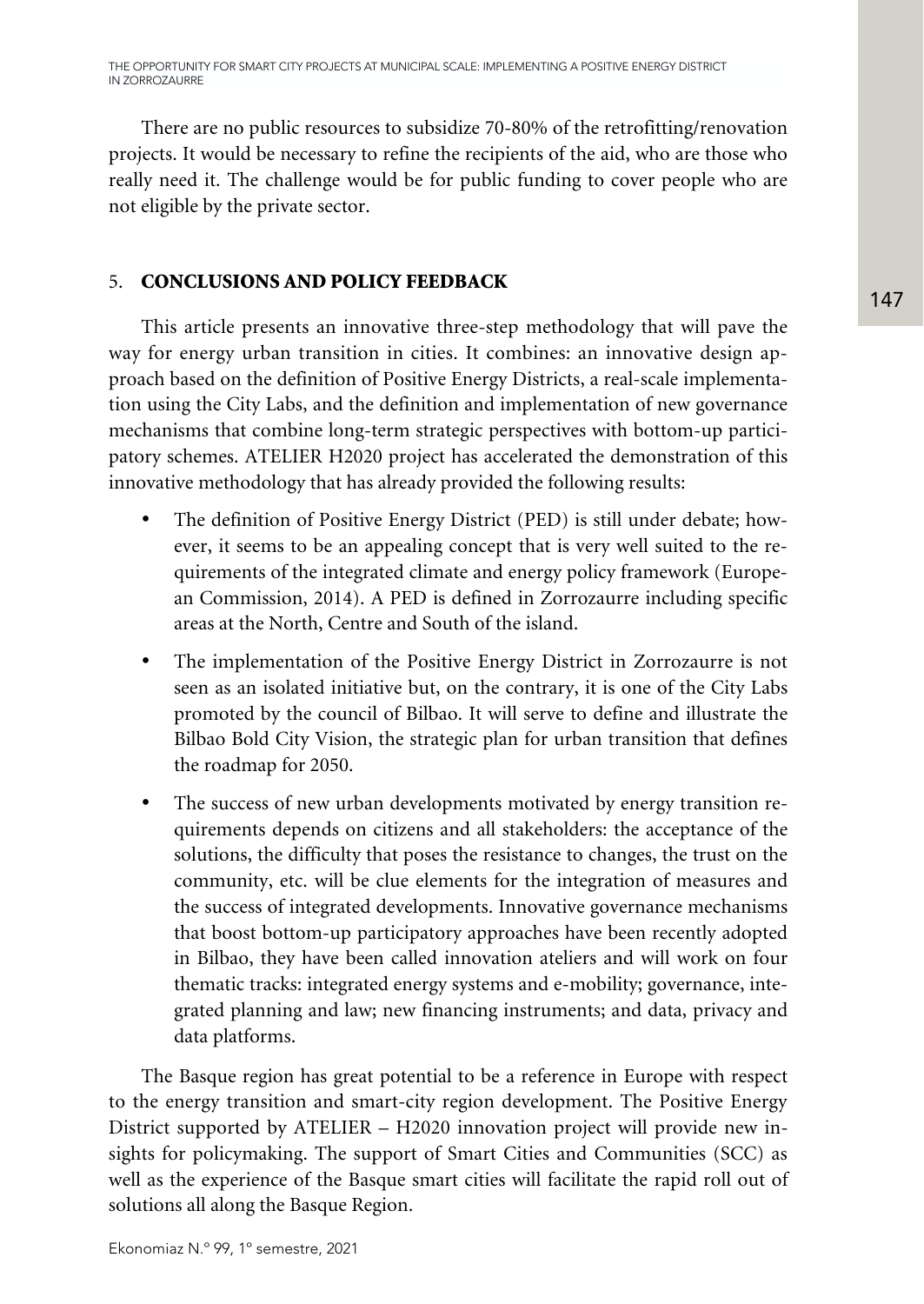There are no public resources to subsidize 70-80% of the retrofitting/renovation projects. It would be necessary to refine the recipients of the aid, who are those who really need it. The challenge would be for public funding to cover people who are not eligible by the private sector.

# 5. CONCLUSIONS AND POLICY FEEDBACK

This article presents an innovative three-step methodology that will pave the way for energy urban transition in cities. It combines: an innovative design approach based on the definition of Positive Energy Districts, a real-scale implementation using the City Labs, and the definition and implementation of new governance mechanisms that combine long-term strategic perspectives with bottom-up participatory schemes. ATELIER H2020 project has accelerated the demonstration of this innovative methodology that has already provided the following results:

- The definition of Positive Energy District (PED) is still under debate; however, it seems to be an appealing concept that is very well suited to the requirements of the integrated climate and energy policy framework (European Commission, 2014). A PED is defined in Zorrozaurre including specific areas at the North, Centre and South of the island.
- The implementation of the Positive Energy District in Zorrozaurre is not seen as an isolated initiative but, on the contrary, it is one of the City Labs promoted by the council of Bilbao. It will serve to define and illustrate the Bilbao Bold City Vision, the strategic plan for urban transition that defines the roadmap for 2050.
- The success of new urban developments motivated by energy transition requirements depends on citizens and all stakeholders: the acceptance of the solutions, the difficulty that poses the resistance to changes, the trust on the community, etc. will be clue elements for the integration of measures and the success of integrated developments. Innovative governance mechanisms that boost bottom-up participatory approaches have been recently adopted in Bilbao, they have been called innovation ateliers and will work on four thematic tracks: integrated energy systems and e-mobility; governance, integrated planning and law; new financing instruments; and data, privacy and data platforms.

The Basque region has great potential to be a reference in Europe with respect to the energy transition and smart-city region development. The Positive Energy District supported by ATELIER – H2020 innovation project will provide new insights for policymaking. The support of Smart Cities and Communities (SCC) as well as the experience of the Basque smart cities will facilitate the rapid roll out of solutions all along the Basque Region.

147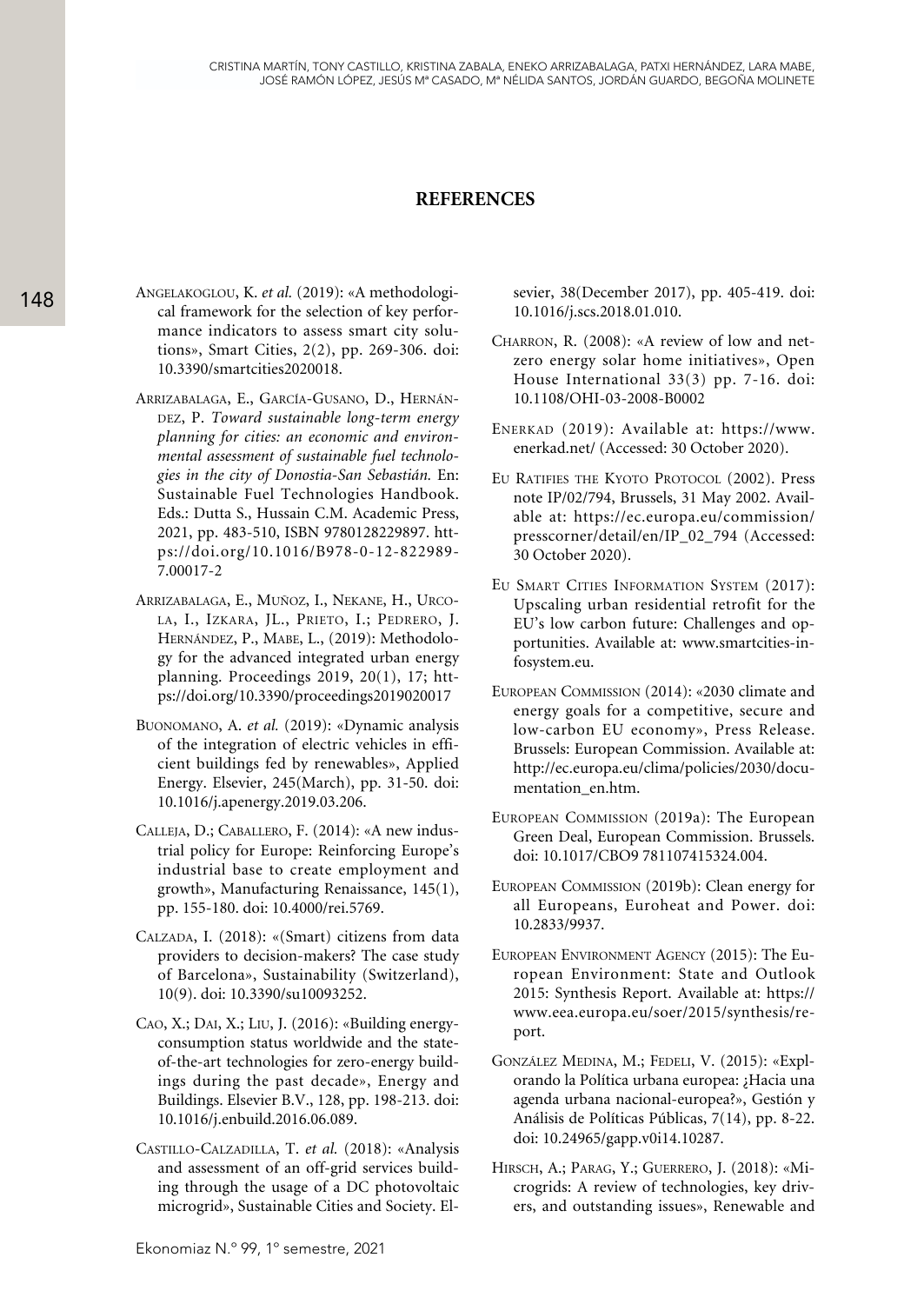#### **REFERENCES**

- ANGELAKOGLOU, K. *et al.* (2019): «A methodological framework for the selection of key performance indicators to assess smart city solutions», Smart Cities, 2(2), pp. 269-306. doi: 10.3390/smartcities2020018.
- ARRIZABALAGA, E., GARCÍA-GUSANO, D., HERNÁN-DEZ, P. *Toward sustainable long-term energy planning for cities: an economic and environmental assessment of sustainable fuel technologies in the city of Donostia-San Sebastián.* En: Sustainable Fuel Technologies Handbook. Eds.: Dutta S., Hussain C.M. Academic Press, 2021, pp. 483-510, ISBN 9780128229897. https://doi.org/10.1016/B978-0-12-822989- 7.00017-2
- ARRIZABALAGA, E., MUÑOZ, I., NEKANE, H., URCO-LA, I., IZKARA, JL., PRIETO, I.; PEDRERO, J. HERNÁNDEZ, P., MABE, L., (2019): Methodology for the advanced integrated urban energy planning. Proceedings 2019, 20(1), 17; https://doi.org/10.3390/proceedings2019020017
- BUONOMANO, A. *et al.* (2019): «Dynamic analysis of the integration of electric vehicles in efficient buildings fed by renewables», Applied Energy. Elsevier, 245(March), pp. 31-50. doi: 10.1016/j.apenergy.2019.03.206.
- CALLEJA, D.; CABALLERO, F. (2014): «A new industrial policy for Europe: Reinforcing Europe's industrial base to create employment and growth», Manufacturing Renaissance, 145(1), pp. 155-180. doi: 10.4000/rei.5769.
- CALZADA, I. (2018): «(Smart) citizens from data providers to decision-makers? The case study of Barcelona», Sustainability (Switzerland), 10(9). doi: 10.3390/su10093252.
- CAO, X.; DAI, X.; LIU, J. (2016): «Building energyconsumption status worldwide and the stateof-the-art technologies for zero-energy buildings during the past decade», Energy and Buildings. Elsevier B.V., 128, pp. 198-213. doi: 10.1016/j.enbuild.2016.06.089.
- CASTILLO-CALZADILLA, T. *et al.* (2018): «Analysis and assessment of an off-grid services building through the usage of a DC photovoltaic microgrid», Sustainable Cities and Society. El-

sevier, 38(December 2017), pp. 405-419. doi: 10.1016/j.scs.2018.01.010.

- CHARRON, R. (2008): «A review of low and netzero energy solar home initiatives», Open House International 33(3) pp. 7-16. doi: 10.1108/OHI-03-2008-B0002
- ENERKAD (2019): Available at: https://www. enerkad.net/ (Accessed: 30 October 2020).
- EU RATIFIES THE KYOTO PROTOCOL (2002). Press note IP/02/794, Brussels, 31 May 2002. Available at: https://ec.europa.eu/commission/ presscorner/detail/en/IP\_02\_794 (Accessed: 30 October 2020).
- EU SMART CITIES INFORMATION SYSTEM (2017): Upscaling urban residential retrofit for the EU's low carbon future: Challenges and opportunities. Available at: www.smartcities-infosystem.eu.
- EUROPEAN COMMISSION (2014): «2030 climate and energy goals for a competitive, secure and low-carbon EU economy», Press Release. Brussels: European Commission. Available at: http://ec.europa.eu/clima/policies/2030/documentation\_en.htm.
- EUROPEAN COMMISSION (2019a): The European Green Deal, European Commission. Brussels. doi: 10.1017/CBO9 781107415324.004.
- EUROPEAN COMMISSION (2019b): Clean energy for all Europeans, Euroheat and Power. doi: 10.2833/9937.
- EUROPEAN ENVIRONMENT AGENCY (2015): The European Environment: State and Outlook 2015: Synthesis Report. Available at: https:// www.eea.europa.eu/soer/2015/synthesis/report.
- GONZÁLEZ MEDINA, M.; FEDELI, V. (2015): «Explorando la Política urbana europea: ¿Hacia una agenda urbana nacional-europea?», Gestión y Análisis de Políticas Públicas, 7(14), pp. 8-22. doi: 10.24965/gapp.v0i14.10287.
- HIRSCH, A.; PARAG, Y.; GUERRERO, J. (2018): «Microgrids: A review of technologies, key drivers, and outstanding issues», Renewable and